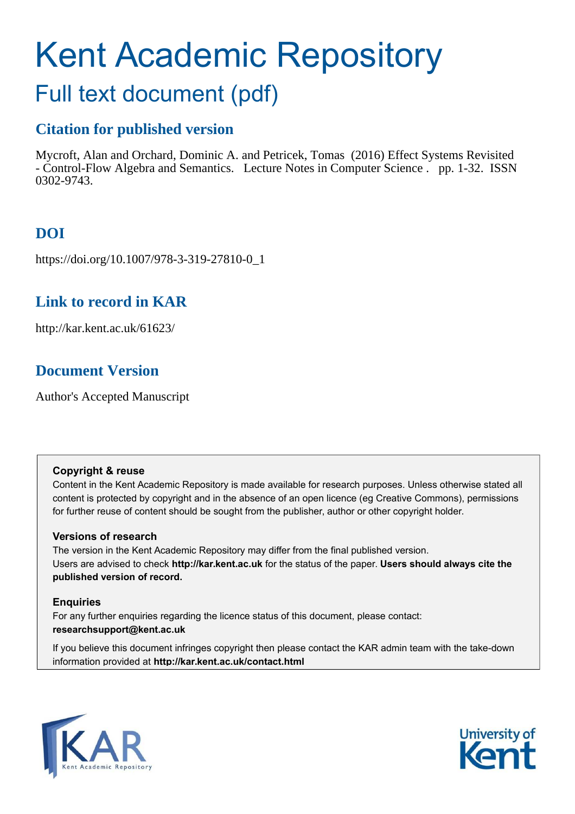# Kent Academic Repository

## Full text document (pdf)

## **Citation for published version**

Mycroft, Alan and Orchard, Dominic A. and Petricek, Tomas (2016) Effect Systems Revisited - Control-Flow Algebra and Semantics. Lecture Notes in Computer Science . pp. 1-32. ISSN 0302-9743.

## **DOI**

https://doi.org/10.1007/978-3-319-27810-0\_1

## **Link to record in KAR**

http://kar.kent.ac.uk/61623/

## **Document Version**

Author's Accepted Manuscript

#### **Copyright & reuse**

Content in the Kent Academic Repository is made available for research purposes. Unless otherwise stated all content is protected by copyright and in the absence of an open licence (eg Creative Commons), permissions for further reuse of content should be sought from the publisher, author or other copyright holder.

#### **Versions of research**

The version in the Kent Academic Repository may differ from the final published version. Users are advised to check **http://kar.kent.ac.uk** for the status of the paper. **Users should always cite the published version of record.**

#### **Enquiries**

For any further enquiries regarding the licence status of this document, please contact: **researchsupport@kent.ac.uk**

If you believe this document infringes copyright then please contact the KAR admin team with the take-down information provided at **http://kar.kent.ac.uk/contact.html**



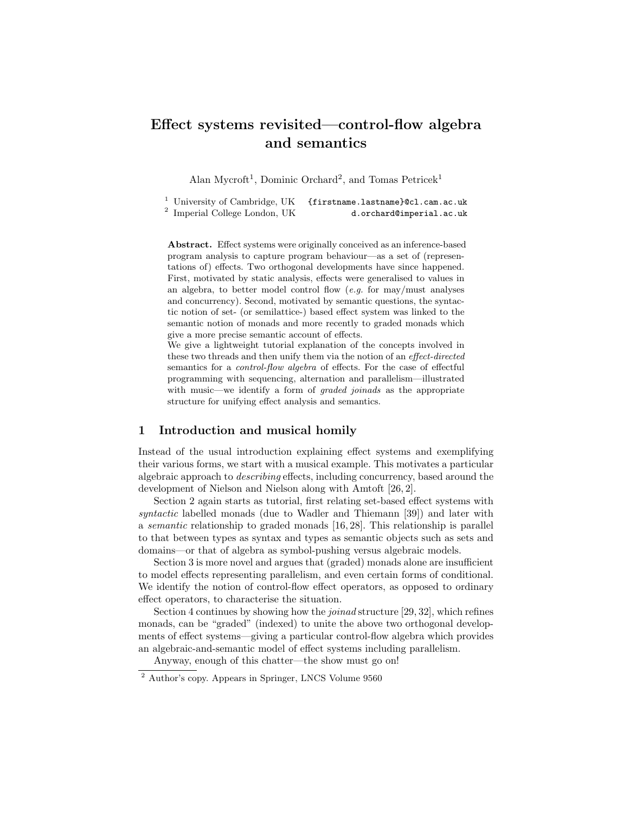### Effect systems revisited—control-flow algebra and semantics

Alan Mycroft<sup>1</sup>, Dominic Orchard<sup>2</sup>, and Tomas Petricek<sup>1</sup>

<sup>1</sup> University of Cambridge, UK  ${ifirstname.lastname}\$ Ocl.cam.ac.uk <sup>2</sup> Imperial College London, UK d.orchard@imperial.ac.uk

Abstract. Effect systems were originally conceived as an inference-based program analysis to capture program behaviour—as a set of (representations of) effects. Two orthogonal developments have since happened. First, motivated by static analysis, effects were generalised to values in an algebra, to better model control flow  $(e.g.$  for may/must analyses and concurrency). Second, motivated by semantic questions, the syntactic notion of set- (or semilattice-) based effect system was linked to the semantic notion of monads and more recently to graded monads which give a more precise semantic account of effects.

We give a lightweight tutorial explanation of the concepts involved in these two threads and then unify them via the notion of an effect-directed semantics for a *control-flow algebra* of effects. For the case of effectful programming with sequencing, alternation and parallelism—illustrated with music—we identify a form of *graded joinads* as the appropriate structure for unifying effect analysis and semantics.

#### 1 Introduction and musical homily

Instead of the usual introduction explaining effect systems and exemplifying their various forms, we start with a musical example. This motivates a particular algebraic approach to describing effects, including concurrency, based around the development of Nielson and Nielson along with Amtoft [26, 2].

Section 2 again starts as tutorial, first relating set-based effect systems with syntactic labelled monads (due to Wadler and Thiemann [39]) and later with a semantic relationship to graded monads [16, 28]. This relationship is parallel to that between types as syntax and types as semantic objects such as sets and domains—or that of algebra as symbol-pushing versus algebraic models.

Section 3 is more novel and argues that (graded) monads alone are insufficient to model effects representing parallelism, and even certain forms of conditional. We identify the notion of control-flow effect operators, as opposed to ordinary effect operators, to characterise the situation.

Section 4 continues by showing how the joinad structure [29, 32], which refines monads, can be "graded" (indexed) to unite the above two orthogonal developments of effect systems—giving a particular control-flow algebra which provides an algebraic-and-semantic model of effect systems including parallelism.

Anyway, enough of this chatter—the show must go on!

<sup>2</sup> Author's copy. Appears in Springer, LNCS Volume 9560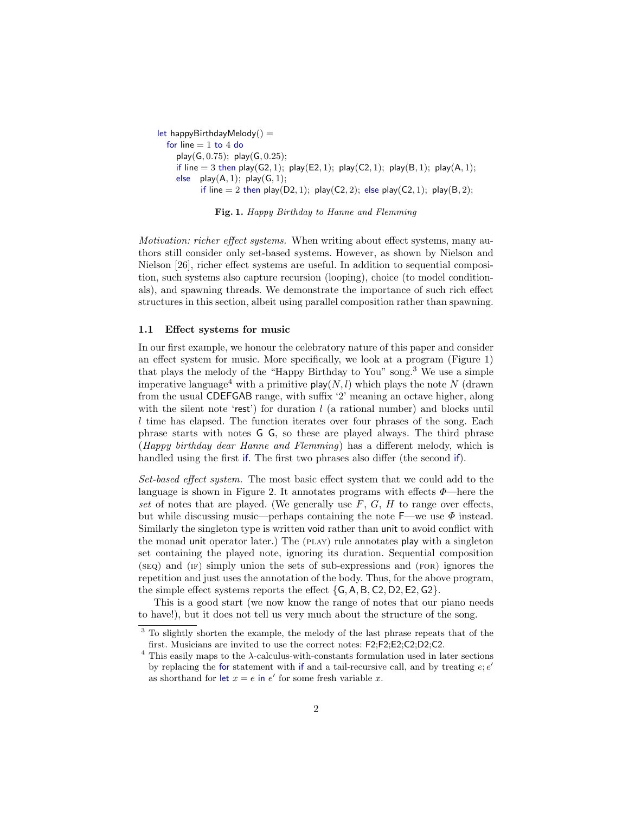let happyBirthdayMelody()  $=$ for line  $= 1$  to 4 do play(G, 0.75); play(G, 0.25); if line = 3 then play(G2, 1); play(E2, 1); play(C2, 1); play(B, 1); play(A, 1); else play $(A, 1)$ ; play $(G, 1)$ ; if line  $= 2$  then play(D2, 1); play(C2, 2); else play(C2, 1); play(B, 2);

Fig. 1. Happy Birthday to Hanne and Flemming

Motivation: richer effect systems. When writing about effect systems, many authors still consider only set-based systems. However, as shown by Nielson and Nielson [26], richer effect systems are useful. In addition to sequential composition, such systems also capture recursion (looping), choice (to model conditionals), and spawning threads. We demonstrate the importance of such rich effect structures in this section, albeit using parallel composition rather than spawning.

#### 1.1 Effect systems for music

In our first example, we honour the celebratory nature of this paper and consider an effect system for music. More specifically, we look at a program (Figure 1) that plays the melody of the "Happy Birthday to You" song.<sup>3</sup> We use a simple imperative language<sup>4</sup> with a primitive  $\mathsf{play}(N, l)$  which plays the note N (drawn from the usual CDEFGAB range, with suffix '2' meaning an octave higher, along with the silent note 'rest') for duration  $l$  (a rational number) and blocks until l time has elapsed. The function iterates over four phrases of the song. Each phrase starts with notes G G, so these are played always. The third phrase (Happy birthday dear Hanne and Flemming) has a different melody, which is handled using the first if. The first two phrases also differ (the second if).

Set-based effect system. The most basic effect system that we could add to the language is shown in Figure 2. It annotates programs with effects  $\Phi$ —here the set of notes that are played. (We generally use  $F, G, H$  to range over effects, but while discussing music—perhaps containing the note  $F$ —we use  $\Phi$  instead. Similarly the singleton type is written void rather than unit to avoid conflict with the monad unit operator later.) The (PLAY) rule annotates play with a singleton set containing the played note, ignoring its duration. Sequential composition (seq) and (if) simply union the sets of sub-expressions and (for) ignores the repetition and just uses the annotation of the body. Thus, for the above program, the simple effect systems reports the effect  $\{G, A, B, C2, D2, E2, G2\}.$ 

This is a good start (we now know the range of notes that our piano needs to have!), but it does not tell us very much about the structure of the song.

<sup>&</sup>lt;sup>3</sup> To slightly shorten the example, the melody of the last phrase repeats that of the first. Musicians are invited to use the correct notes: F2;F2;E2;C2;D2;C2.

 $^4$  This easily maps to the  $\lambda\text{-calculus-with-constants}$  formulation used in later sections by replacing the for statement with if and a tail-recursive call, and by treating  $e, e'$ as shorthand for let  $x = e$  in  $e'$  for some fresh variable x.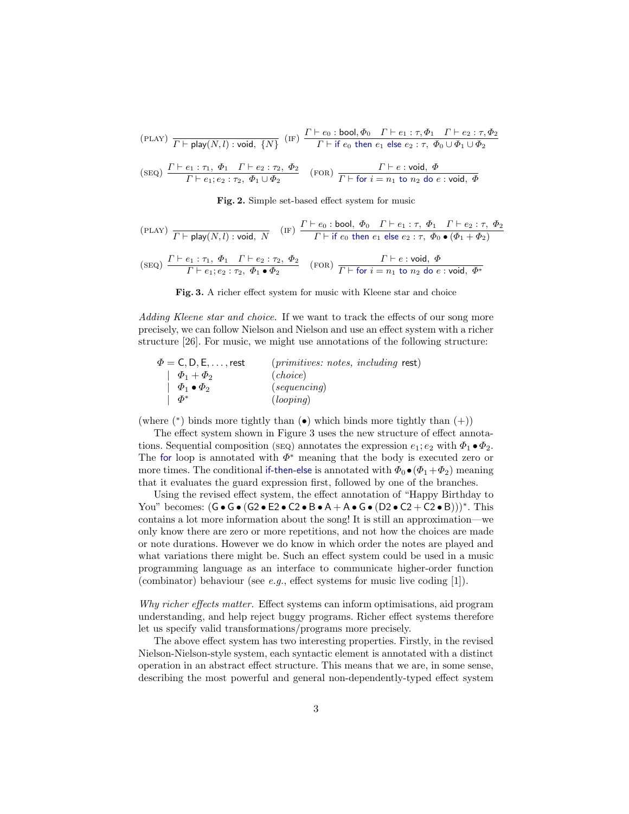$$
\text{(PLAY)}\ \overline{\Gamma \vdash \mathsf{play}(N, l): \mathsf{void},\ \{N\}}\ \text{(IF)}\ \frac{\Gamma \vdash e_0: \mathsf{bool}, \varPhi_0\quad \Gamma \vdash e_1: \tau, \varPhi_1\quad \Gamma \vdash e_2: \tau, \varPhi_2}{\Gamma \vdash \text{if } e_0 \text{ then } e_1 \text{ else } e_2: \tau, \ \varPhi_0 \cup \varPhi_1 \cup \varPhi_2}
$$

$$
\text{(SEQ)}\ \frac{\Gamma \vdash e_1 : \tau_1,\ \Phi_1\quad \Gamma \vdash e_2 : \tau_2,\ \Phi_2}{\Gamma \vdash e_1; e_2 : \tau_2,\ \Phi_1 \cup \Phi_2} \quad \text{(FOR)}\ \frac{\Gamma \vdash e : \text{void},\ \Phi}{\Gamma \vdash \text{for } i = n_1 \text{ to } n_2 \text{ do } e : \text{void},\ \Phi}
$$

Fig. 2. Simple set-based effect system for music

$$
\text{(PLAY)}\ \frac{}{\Gamma\vdash \mathsf{play}(N,l):\mathsf{void},\ N}\quad\text{(IF)}\ \frac{\Gamma\vdash e_0:\mathsf{bool},\ \varPhi_0\quad \Gamma\vdash e_1:\tau,\ \varPhi_1\quad \Gamma\vdash e_2:\tau,\ \varPhi_2}{\Gamma\vdash \mathsf{if}\ e_0\ \mathsf{then}\ e_1\ \mathsf{else}\ e_2:\tau,\ \varPhi_0\bullet(\varPhi_1+\varPhi_2)}
$$

$$
\text{(SEQ)}\ \frac{\varGamma\vdash e_1:\tau_1,\ \varPhi_1\quad \varGamma\vdash e_2:\tau_2,\ \varPhi_2}{\varGamma\vdash e_1;e_2:\tau_2,\ \varPhi_1\bullet\varPhi_2} \quad \text{(FOR)}\ \frac{\varGamma\vdash e:\mathsf{void},\ \varPhi}{\varGamma\vdash \mathsf{for}\ i=n_1\ \mathsf{to}\ n_2\ \mathsf{do}\ e:\mathsf{void},\ \varPhi^*}
$$

Fig. 3. A richer effect system for music with Kleene star and choice

Adding Kleene star and choice. If we want to track the effects of our song more precisely, we can follow Nielson and Nielson and use an effect system with a richer structure [26]. For music, we might use annotations of the following structure:

$$
\Phi = \text{C}, \text{D}, \text{E}, \dots, \text{rest} \qquad (primitives: notes, including rest) \n\begin{array}{c}\n\downarrow \Phi_1 + \Phi_2 \quad \text{(choice)} \\
\downarrow \Phi_1 \bullet \Phi_2 \quad \text{(sequencing)} \\
\downarrow \Phi^* \quad \text{(looping)}\n\end{array}
$$

(where  $(*)$  binds more tightly than  $(\bullet)$  which binds more tightly than  $(+)$ )

The effect system shown in Figure 3 uses the new structure of effect annotations. Sequential composition (seq) annotates the expression  $e_1$ ;  $e_2$  with  $\Phi_1 \bullet \Phi_2$ . The for loop is annotated with  $\Phi^*$  meaning that the body is executed zero or more times. The conditional if-then-else is annotated with  $\Phi_0 \bullet (\Phi_1 + \Phi_2)$  meaning that it evaluates the guard expression first, followed by one of the branches.

Using the revised effect system, the effect annotation of "Happy Birthday to You" becomes:  $(G \bullet G \bullet (G2 \bullet E2 \bullet C2 \bullet B \bullet A + A \bullet G \bullet (D2 \bullet C2 + C2 \bullet B)))^*$ . This contains a lot more information about the song! It is still an approximation—we only know there are zero or more repetitions, and not how the choices are made or note durations. However we do know in which order the notes are played and what variations there might be. Such an effect system could be used in a music programming language as an interface to communicate higher-order function (combinator) behaviour (see e.g., effect systems for music live coding [1]).

Why richer effects matter. Effect systems can inform optimisations, aid program understanding, and help reject buggy programs. Richer effect systems therefore let us specify valid transformations/programs more precisely.

The above effect system has two interesting properties. Firstly, in the revised Nielson-Nielson-style system, each syntactic element is annotated with a distinct operation in an abstract effect structure. This means that we are, in some sense, describing the most powerful and general non-dependently-typed effect system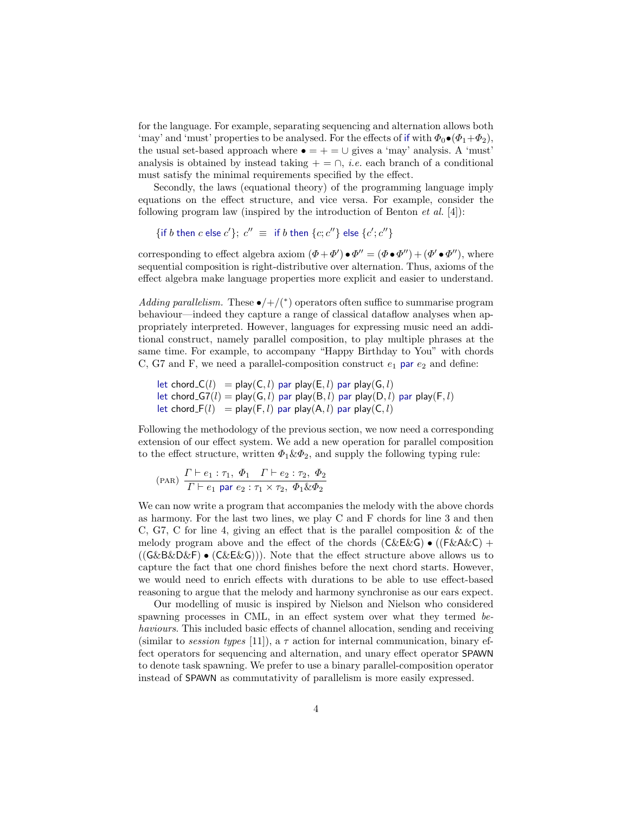for the language. For example, separating sequencing and alternation allows both 'may' and 'must' properties to be analysed. For the effects of if with  $\Phi_0 \bullet (\Phi_1 + \Phi_2)$ , the usual set-based approach where  $\bullet = + = \cup$  gives a 'may' analysis. A 'must' analysis is obtained by instead taking  $+ = \cap$ , *i.e.* each branch of a conditional must satisfy the minimal requirements specified by the effect.

Secondly, the laws (equational theory) of the programming language imply equations on the effect structure, and vice versa. For example, consider the following program law (inspired by the introduction of Benton  $et \ al. \ [4]$ ):

{if b then c else c'}; 
$$
c'' \equiv
$$
 if b then  $\{c; c''\}$  else  $\{c'; c''\}$ 

corresponding to effect algebra axiom  $(\Phi + \Phi') \bullet \Phi'' = (\Phi \bullet \Phi'') + (\Phi' \bullet \Phi'')$ , where sequential composition is right-distributive over alternation. Thus, axioms of the effect algebra make language properties more explicit and easier to understand.

Adding parallelism. These  $\bullet/+\!/$ <sup>\*</sup>) operators often suffice to summarise program behaviour—indeed they capture a range of classical dataflow analyses when appropriately interpreted. However, languages for expressing music need an additional construct, namely parallel composition, to play multiple phrases at the same time. For example, to accompany "Happy Birthday to You" with chords C, G7 and F, we need a parallel-composition construct  $e_1$  par  $e_2$  and define:

let chord C(l) = play(C, l) par play(E, l) par play(G, l) let chord G7(l) = play(G, l) par play(B, l) par play(D, l) par play(F, l) let chord F(l) = play(F, l) par play(A, l) par play(C, l)

Following the methodology of the previous section, we now need a corresponding extension of our effect system. We add a new operation for parallel composition to the effect structure, written  $\Phi_1 \& \Phi_2$ , and supply the following typing rule:

$$
\text{(PAR)}\ \frac{\Gamma\vdash e_1:\tau_1,\ \Phi_1\quad \Gamma\vdash e_2:\tau_2,\ \Phi_2}{\Gamma\vdash e_1\ \text{par}\ e_2:\tau_1\times\tau_2,\ \Phi_1 \& \Phi_2}
$$

We can now write a program that accompanies the melody with the above chords as harmony. For the last two lines, we play C and F chords for line 3 and then C, G7, C for line 4, giving an effect that is the parallel composition  $\&$  of the melody program above and the effect of the chords  $(C&E&G) \bullet ((F&A&C) +$  $((G\&B\&D\&F)\bullet (C\&E\&G)))$ . Note that the effect structure above allows us to capture the fact that one chord finishes before the next chord starts. However, we would need to enrich effects with durations to be able to use effect-based reasoning to argue that the melody and harmony synchronise as our ears expect.

Our modelling of music is inspired by Nielson and Nielson who considered spawning processes in CML, in an effect system over what they termed behaviours. This included basic effects of channel allocation, sending and receiving (similar to session types [11]), a  $\tau$  action for internal communication, binary effect operators for sequencing and alternation, and unary effect operator SPAWN to denote task spawning. We prefer to use a binary parallel-composition operator instead of SPAWN as commutativity of parallelism is more easily expressed.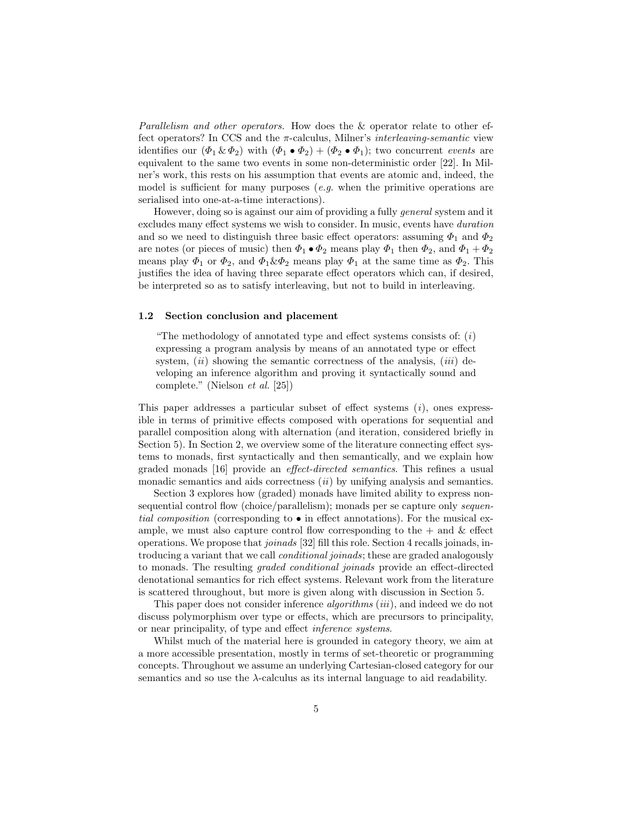Parallelism and other operators. How does the & operator relate to other effect operators? In CCS and the  $\pi$ -calculus, Milner's *interleaving-semantic* view identifies our  $(\Phi_1 \& \Phi_2)$  with  $(\Phi_1 \bullet \Phi_2) + (\Phi_2 \bullet \Phi_1)$ ; two concurrent events are equivalent to the same two events in some non-deterministic order [22]. In Milner's work, this rests on his assumption that events are atomic and, indeed, the model is sufficient for many purposes  $(e.g.$  when the primitive operations are serialised into one-at-a-time interactions).

However, doing so is against our aim of providing a fully general system and it excludes many effect systems we wish to consider. In music, events have duration and so we need to distinguish three basic effect operators: assuming  $\Phi_1$  and  $\Phi_2$ are notes (or pieces of music) then  $\Phi_1 \bullet \Phi_2$  means play  $\Phi_1$  then  $\Phi_2$ , and  $\Phi_1 + \Phi_2$ means play  $\Phi_1$  or  $\Phi_2$ , and  $\Phi_1 \& \Phi_2$  means play  $\Phi_1$  at the same time as  $\Phi_2$ . This justifies the idea of having three separate effect operators which can, if desired, be interpreted so as to satisfy interleaving, but not to build in interleaving.

#### 1.2 Section conclusion and placement

"The methodology of annotated type and effect systems consists of:  $(i)$ expressing a program analysis by means of an annotated type or effect system,  $(ii)$  showing the semantic correctness of the analysis,  $(iii)$  developing an inference algorithm and proving it syntactically sound and complete." (Nielson et al. [25])

This paper addresses a particular subset of effect systems  $(i)$ , ones expressible in terms of primitive effects composed with operations for sequential and parallel composition along with alternation (and iteration, considered briefly in Section 5). In Section 2, we overview some of the literature connecting effect systems to monads, first syntactically and then semantically, and we explain how graded monads [16] provide an effect-directed semantics. This refines a usual monadic semantics and aids correctness  $(ii)$  by unifying analysis and semantics.

Section 3 explores how (graded) monads have limited ability to express nonsequential control flow (choice/parallelism); monads per se capture only sequential composition (corresponding to  $\bullet$  in effect annotations). For the musical example, we must also capture control flow corresponding to the  $+$  and  $\&$  effect operations. We propose that joinads [32] fill this role. Section 4 recalls joinads, introducing a variant that we call conditional joinads; these are graded analogously to monads. The resulting graded conditional joinads provide an effect-directed denotational semantics for rich effect systems. Relevant work from the literature is scattered throughout, but more is given along with discussion in Section 5.

This paper does not consider inference *algorithms* (*iii*), and indeed we do not discuss polymorphism over type or effects, which are precursors to principality, or near principality, of type and effect inference systems.

Whilst much of the material here is grounded in category theory, we aim at a more accessible presentation, mostly in terms of set-theoretic or programming concepts. Throughout we assume an underlying Cartesian-closed category for our semantics and so use the  $\lambda$ -calculus as its internal language to aid readability.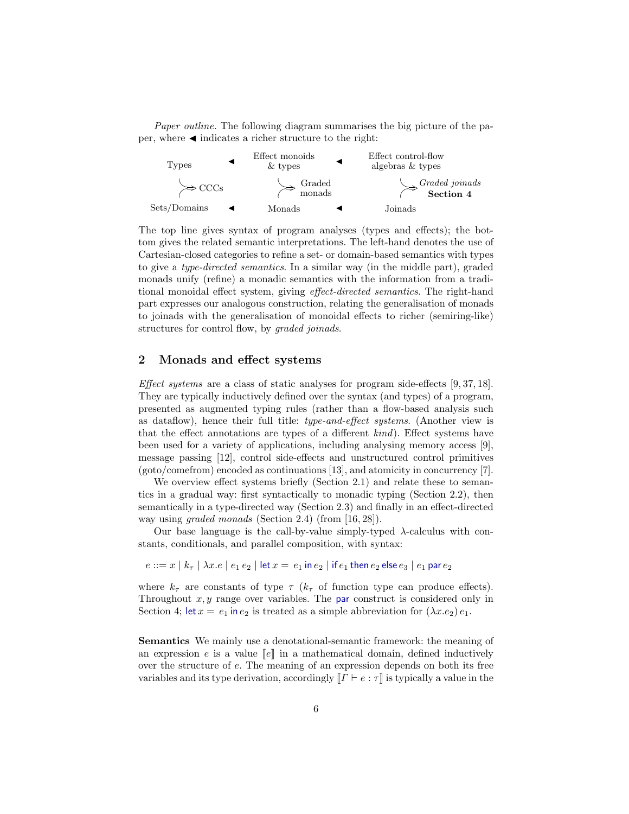Paper outline. The following diagram summarises the big picture of the paper, where  $\triangleleft$  indicates a richer structure to the right:



The top line gives syntax of program analyses (types and effects); the bottom gives the related semantic interpretations. The left-hand denotes the use of Cartesian-closed categories to refine a set- or domain-based semantics with types to give a type-directed semantics. In a similar way (in the middle part), graded monads unify (refine) a monadic semantics with the information from a traditional monoidal effect system, giving effect-directed semantics. The right-hand part expresses our analogous construction, relating the generalisation of monads to joinads with the generalisation of monoidal effects to richer (semiring-like) structures for control flow, by graded joinads.

#### 2 Monads and effect systems

Effect systems are a class of static analyses for program side-effects [9, 37, 18]. They are typically inductively defined over the syntax (and types) of a program, presented as augmented typing rules (rather than a flow-based analysis such as dataflow), hence their full title: type-and-effect systems. (Another view is that the effect annotations are types of a different kind). Effect systems have been used for a variety of applications, including analysing memory access [9], message passing [12], control side-effects and unstructured control primitives (goto/comefrom) encoded as continuations [13], and atomicity in concurrency [7].

We overview effect systems briefly (Section 2.1) and relate these to semantics in a gradual way: first syntactically to monadic typing (Section 2.2), then semantically in a type-directed way (Section 2.3) and finally in an effect-directed way using graded monads (Section 2.4) (from [16, 28]).

Our base language is the call-by-value simply-typed λ-calculus with constants, conditionals, and parallel composition, with syntax:

 $e ::= x | k_1 | \lambda x.e | e_1 e_2 |$  let  $x = e_1$  in  $e_2 |$  if  $e_1$  then  $e_2$  else  $e_3 | e_1$  par  $e_2$ 

where  $k_{\tau}$  are constants of type  $\tau$  ( $k_{\tau}$  of function type can produce effects). Throughout  $x, y$  range over variables. The par construct is considered only in Section 4; let  $x = e_1$  in  $e_2$  is treated as a simple abbreviation for  $(\lambda x.e_2) e_1$ .

Semantics We mainly use a denotational-semantic framework: the meaning of an expression e is a value  $\llbracket e \rrbracket$  in a mathematical domain, defined inductively over the structure of e. The meaning of an expression depends on both its free variables and its type derivation, accordingly  $\llbracket \Gamma \vdash e : \tau \rrbracket$  is typically a value in the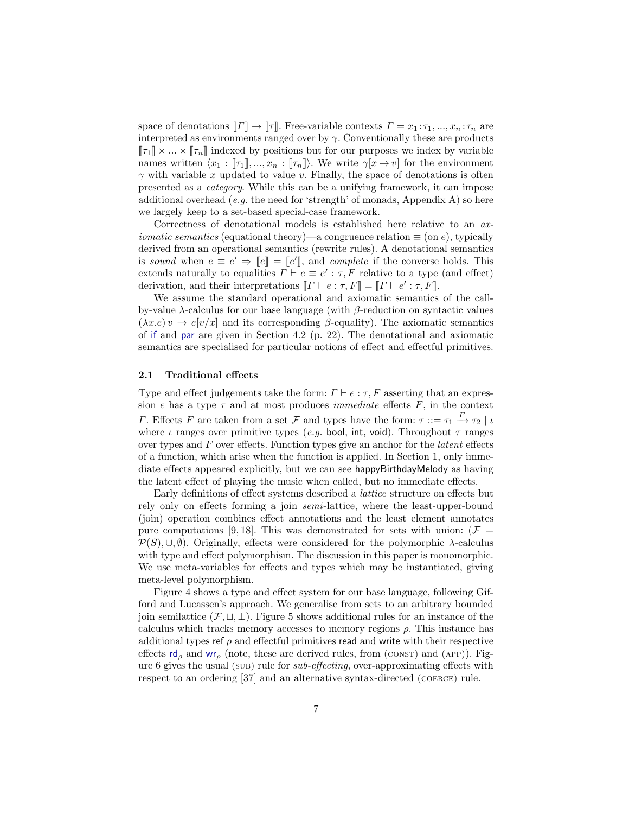space of denotations  $\llbracket \Gamma \rrbracket \to \llbracket \tau \rrbracket$ . Free-variable contexts  $\Gamma = x_1 : \tau_1, ..., x_n : \tau_n$  are interpreted as environments ranged over by  $\gamma$ . Conventionally these are products  $\llbracket \tau_1 \rrbracket \times \ldots \times \llbracket \tau_n \rrbracket$  indexed by positions but for our purposes we index by variable names written  $\langle x_1 : [\![\tau_1]\!], ..., x_n : [\![\tau_n]\!] \rangle$ . We write  $\gamma[x \mapsto v]$  for the environment  $\gamma$  with variable x updated to value v. Finally, the space of denotations is often presented as a category. While this can be a unifying framework, it can impose additional overhead (*e.g.* the need for 'strength' of monads, Appendix A) so here we largely keep to a set-based special-case framework.

Correctness of denotational models is established here relative to an ax*iomatic semantics* (equational theory)—a congruence relation  $\equiv$  (on e), typically derived from an operational semantics (rewrite rules). A denotational semantics is sound when  $e \equiv e' \Rightarrow [e] = [e']$ , and *complete* if the converse holds. This extends naturally to equalities  $\Gamma \vdash e \equiv e' : \tau, F$  relative to a type (and effect) derivation, and their interpretations  $[[\Gamma \vdash e : \tau, F]] = [[\Gamma \vdash e' : \tau, F]].$ 

We assume the standard operational and axiomatic semantics of the callby-value  $\lambda$ -calculus for our base language (with  $\beta$ -reduction on syntactic values  $(\lambda x.e) v \to e[v/x]$  and its corresponding  $\beta$ -equality). The axiomatic semantics of if and par are given in Section 4.2 (p. 22). The denotational and axiomatic semantics are specialised for particular notions of effect and effectful primitives.

#### 2.1 Traditional effects

Type and effect judgements take the form:  $\Gamma \vdash e : \tau$ , F asserting that an expression e has a type  $\tau$  and at most produces *immediate* effects  $F$ , in the context *Γ*. Effects *F* are taken from a set *F* and types have the form:  $\tau ::= \tau_1 \stackrel{F}{\to} \tau_2 \mid \iota$ where  $\iota$  ranges over primitive types (e.g. bool, int, void). Throughout  $\tau$  ranges over types and  $F$  over effects. Function types give an anchor for the *latent* effects of a function, which arise when the function is applied. In Section 1, only immediate effects appeared explicitly, but we can see happyBirthdayMelody as having the latent effect of playing the music when called, but no immediate effects.

Early definitions of effect systems described a lattice structure on effects but rely only on effects forming a join semi-lattice, where the least-upper-bound (join) operation combines effect annotations and the least element annotates pure computations [9, 18]. This was demonstrated for sets with union:  $(F =$  $\mathcal{P}(S), \cup, \emptyset$ ). Originally, effects were considered for the polymorphic  $\lambda$ -calculus with type and effect polymorphism. The discussion in this paper is monomorphic. We use meta-variables for effects and types which may be instantiated, giving meta-level polymorphism.

Figure 4 shows a type and effect system for our base language, following Gifford and Lucassen's approach. We generalise from sets to an arbitrary bounded join semilattice  $(\mathcal{F}, \sqcup, \perp)$ . Figure 5 shows additional rules for an instance of the calculus which tracks memory accesses to memory regions  $\rho$ . This instance has additional types ref  $\rho$  and effectful primitives read and write with their respective effects  $\mathsf{rd}_\rho$  and  $\mathsf{wr}_\rho$  (note, these are derived rules, from (CONST) and (APP)). Figure 6 gives the usual (sub) rule for sub-effecting, over-approximating effects with respect to an ordering [37] and an alternative syntax-directed (coerce) rule.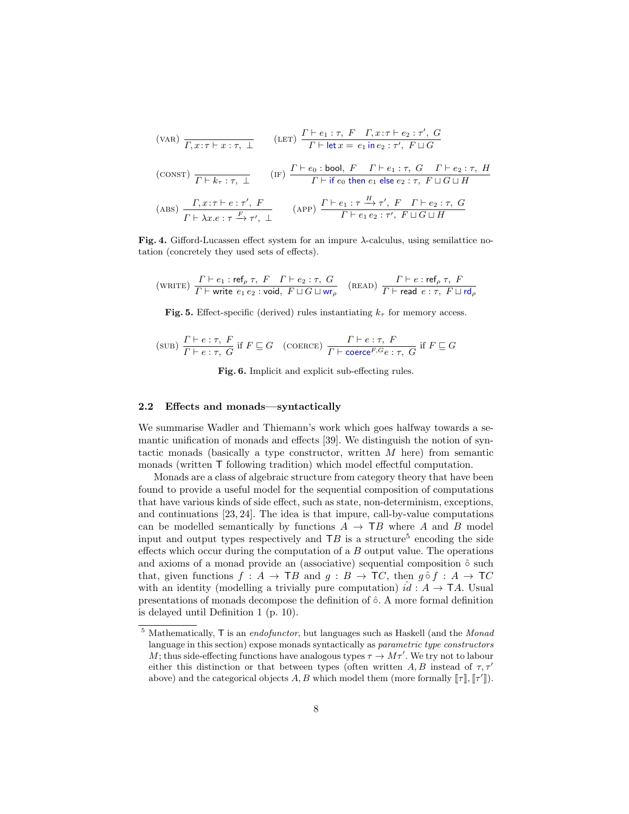(VAR) 
$$
\overline{\Gamma, x:\tau \vdash x:\tau, \bot}
$$
 (LET)  $\frac{\Gamma \vdash e_1:\tau, F \Gamma, x:\tau \vdash e_2:\tau', G}{\Gamma \vdash \text{let } x = e_1 \text{ in } e_2:\tau', F \sqcup G}$   
\n(CONF)  $\frac{\Gamma \vdash k_\tau:\tau, \bot}{\Gamma \vdash k_\tau:\tau, \bot}$  (IF)  $\frac{\Gamma \vdash e_0:\text{bool}, F \Gamma \vdash e_1:\tau, G \Gamma \vdash e_2:\tau, H}{\Gamma \vdash \text{if } e_0 \text{ then } e_1 \text{ else } e_2:\tau, F \sqcup G \sqcup H}$   
\n(ABS)  $\frac{\Gamma, x:\tau \vdash e:\tau', F}{\Gamma \vdash \lambda x.e:\tau \xrightarrow{F} \tau', \bot}$  (APP)  $\frac{\Gamma \vdash e_1:\tau \xrightarrow{H} \tau', F \Gamma \vdash e_2:\tau, G}{\Gamma \vdash e_1 e_2:\tau', F \sqcup G \sqcup H}$ 

Fig. 4. Gifford-Lucassen effect system for an impure  $\lambda$ -calculus, using semilattice notation (concretely they used sets of effects).

$$
\text{(WRITE)}\ \frac{\varGamma\vdash e_1\texttt{ : } \mathsf{ref}_\rho\ \tau,\ \varGamma\quad \varGamma\vdash e_2\texttt{ : }\tau,\ G}{\varGamma\vdash\mathsf{write}\ \, e_1\,e_2\texttt{ : } \mathsf{void},\ \varGamma\sqcup G\sqcup\mathsf{wr}_\rho} \quad \text{(READ)}\ \frac{\varGamma\vdash e\texttt{ : } \mathsf{ref}_\rho\ \tau,\ \varGamma}{\varGamma\vdash\mathsf{read}\ e\texttt{ : }\tau,\ \varGamma\sqcup\mathsf{rd}_\rho}
$$

Fig. 5. Effect-specific (derived) rules instantiating  $k<sub>\tau</sub>$  for memory access.

$$
\text{(sub)}~\frac{\varGamma\vdash e:\tau,~\varGamma}{\varGamma\vdash e:\tau,~G}~\text{if}~\varGamma\sqsubseteq G\quad \text{(coerce)}~\frac{\varGamma\vdash e:\tau,~\varGamma}{\varGamma\vdash\text{coerce}^{\varGamma,G}e:\tau,~G}~\text{if}~\varGamma\sqsubseteq G
$$

Fig. 6. Implicit and explicit sub-effecting rules.

#### 2.2 Effects and monads—syntactically

We summarise Wadler and Thiemann's work which goes halfway towards a semantic unification of monads and effects [39]. We distinguish the notion of syntactic monads (basically a type constructor, written M here) from semantic monads (written T following tradition) which model effectful computation.

Monads are a class of algebraic structure from category theory that have been found to provide a useful model for the sequential composition of computations that have various kinds of side effect, such as state, non-determinism, exceptions, and continuations [23, 24]. The idea is that impure, call-by-value computations can be modelled semantically by functions  $A \rightarrow \overline{B}$  where A and B model input and output types respectively and  $TB$  is a structure<sup>5</sup> encoding the side effects which occur during the computation of a  $B$  output value. The operations and axioms of a monad provide an (associative) sequential composition  $\hat{\circ}$  such that, given functions  $f : A \to \mathsf{T}B$  and  $g : B \to \mathsf{T}C$ , then  $g \circ f : A \to \mathsf{T}C$ with an identity (modelling a trivially pure computation)  $id: A \rightarrow \mathsf{T}A$ . Usual presentations of monads decompose the definition of  $\hat{\circ}$ . A more formal definition is delayed until Definition 1 (p. 10).

 $5$  Mathematically,  $\overline{T}$  is an *endofunctor*, but languages such as Haskell (and the *Monad* language in this section) expose monads syntactically as parametric type constructors M; thus side-effecting functions have analogous types  $\tau \to M\tau'$ . We try not to labour either this distinction or that between types (often written A, B instead of  $\tau$ ,  $\tau'$ above) and the categorical objects A, B which model them (more formally  $\llbracket \tau \rrbracket$ ,  $\llbracket \tau' \rrbracket$ ).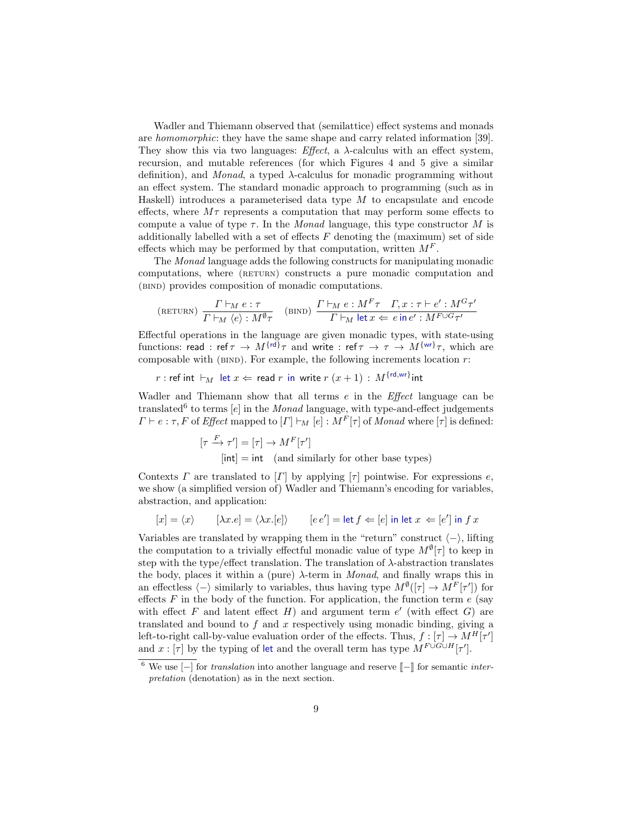Wadler and Thiemann observed that (semilattice) effect systems and monads are homomorphic: they have the same shape and carry related information [39]. They show this via two languages: *Effect*, a  $\lambda$ -calculus with an effect system, recursion, and mutable references (for which Figures 4 and 5 give a similar definition), and *Monad*, a typed  $\lambda$ -calculus for monadic programming without an effect system. The standard monadic approach to programming (such as in Haskell) introduces a parameterised data type  $M$  to encapsulate and encode effects, where  $M\tau$  represents a computation that may perform some effects to compute a value of type  $\tau$ . In the *Monad* language, this type constructor M is additionally labelled with a set of effects  $F$  denoting the (maximum) set of side effects which may be performed by that computation, written  $M<sup>F</sup>$ .

The Monad language adds the following constructs for manipulating monadic computations, where (RETURN) constructs a pure monadic computation and (bind) provides composition of monadic computations.

$$
\text{(RETURN)}\ \frac{\varGamma\vdash_M e:\tau}{\varGamma\vdash_M\langle e\rangle:M^{\emptyset}\tau}\quad\text{(BIND)}\ \frac{\varGamma\vdash_M e:M^F\tau\quad\varGamma,x:\tau\vdash e':M^G\tau'\quad\quad\varGamma\vdash_M\mathrm{let}\,x\in e\mathrm{ in}\,e':M^F\cup G\tau'\quad\quad\qquad}
$$

Effectful operations in the language are given monadic types, with state-using functions: read : ref $\tau \to M^{\{rd\}}\tau$  and write : ref $\tau \to \tau \to M^{\{wr\}}\tau$ , which are composable with ( $BIND$ ). For example, the following increments location  $r$ :

 $r:$  ref int  $\vdash_M \,$  let  $x \Leftarrow$  read  $r$  in write  $r$   $(x+1):$   $M^{\{rd,wr\}}$  int

Wadler and Thiemann show that all terms  $e$  in the *Effect* language can be translated<sup>6</sup> to terms  $[e]$  in the *Monad* language, with type-and-effect judgements  $\Gamma \vdash e : \tau, F$  of Effect mapped to  $[\Gamma] \vdash_M [e] : M^F[\tau]$  of Monad where  $[\tau]$  is defined:

> $[\tau \xrightarrow{F} \tau'] = [\tau] \rightarrow M^{F}[\tau']$  $[int] = int$  (and similarly for other base types)

Contexts  $\Gamma$  are translated to  $[\Gamma]$  by applying  $[\tau]$  pointwise. For expressions  $e$ , we show (a simplified version of) Wadler and Thiemann's encoding for variables, abstraction, and application:

$$
[x] = \langle x \rangle \qquad [\lambda x. e] = \langle \lambda x. [e] \rangle \qquad [e \, e'] = \text{let } f \Leftarrow [e] \text{ in let } x \Leftarrow [e'] \text{ in } f \, x
$$

Variables are translated by wrapping them in the "return" construct  $\langle - \rangle$ , lifting the computation to a trivially effectful monadic value of type  $M^{\emptyset}[\tau]$  to keep in step with the type/effect translation. The translation of λ-abstraction translates the body, places it within a (pure)  $\lambda$ -term in *Monad*, and finally wraps this in an effectless  $\langle - \rangle$  similarly to variables, thus having type  $M^{\emptyset}([\tau] \to M^F[\tau'])$  for effects  $F$  in the body of the function. For application, the function term  $e$  (say with effect  $F$  and latent effect  $H$ ) and argument term  $e'$  (with effect  $G$ ) are translated and bound to  $f$  and  $x$  respectively using monadic binding, giving a left-to-right call-by-value evaluation order of the effects. Thus,  $f : [\tau] \to M^H[\tau']$ and  $x : [\tau]$  by the typing of let and the overall term has type  $M^{F \cup G \cup H}[\tau']$ .

<sup>&</sup>lt;sup>6</sup> We use  $[-]$  for *translation* into another language and reserve  $\llbracket - \rrbracket$  for semantic *inter*pretation (denotation) as in the next section.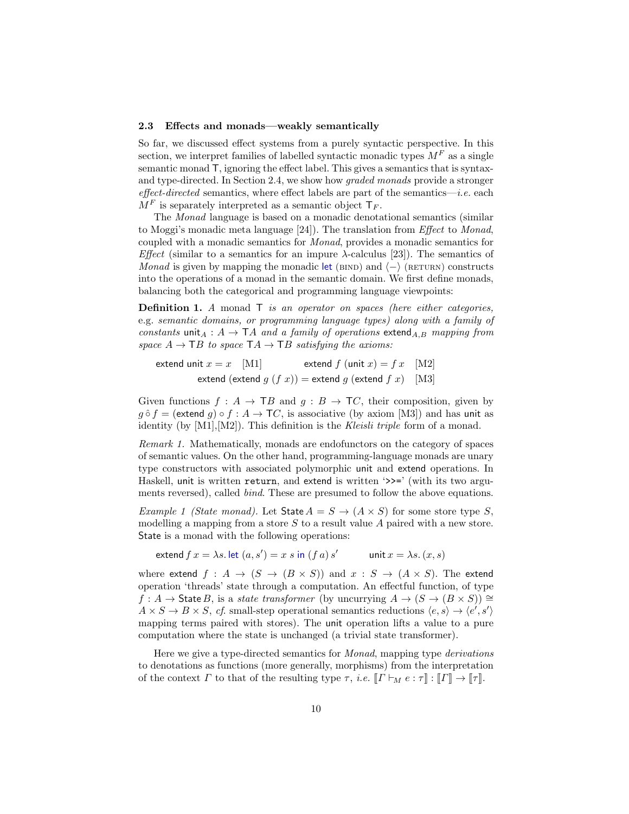#### 2.3 Effects and monads—weakly semantically

So far, we discussed effect systems from a purely syntactic perspective. In this section, we interpret families of labelled syntactic monadic types  $M<sup>F</sup>$  as a single semantic monad T, ignoring the effect label. This gives a semantics that is syntaxand type-directed. In Section 2.4, we show how graded monads provide a stronger  $effect-directed$  semantics, where effect labels are part of the semantics—i.e. each  $M<sup>F</sup>$  is separately interpreted as a semantic object  $\mathsf{T}_F$ .

The Monad language is based on a monadic denotational semantics (similar to Moggi's monadic meta language [24]). The translation from Effect to Monad, coupled with a monadic semantics for Monad, provides a monadic semantics for *Effect* (similar to a semantics for an impure  $\lambda$ -calculus [23]). The semantics of Monad is given by mapping the monadic let (BIND) and  $\langle - \rangle$  (RETURN) constructs into the operations of a monad in the semantic domain. We first define monads, balancing both the categorical and programming language viewpoints:

**Definition 1.** A monad T is an operator on spaces (here either categories, e.g. semantic domains, or programming language types) along with a family of constants unit<sub>A</sub> :  $A \rightarrow TA$  and a family of operations extend<sub>A,B</sub> mapping from space  $A \rightarrow \text{T}B$  to space  $\text{T}A \rightarrow \text{T}B$  satisfying the axioms:

extend unit  $x = x$  [M1] extend  $f$  (unit  $x$ ) =  $f x$  [M2] extend (extend  $g(f x)$ ) = extend  $g$  (extend  $f(x)$  [M3]

Given functions  $f : A \to \mathsf{T}B$  and  $g : B \to \mathsf{T}C$ , their composition, given by  $g \hat{\circ} f =$  (extend  $g \circ f : A \to \mathsf{T}C$ , is associative (by axiom [M3]) and has unit as identity (by  $[M1],[M2]$ ). This definition is the *Kleisli triple* form of a monad.

Remark 1. Mathematically, monads are endofunctors on the category of spaces of semantic values. On the other hand, programming-language monads are unary type constructors with associated polymorphic unit and extend operations. In Haskell, unit is written return, and extend is written '>>=' (with its two arguments reversed), called *bind*. These are presumed to follow the above equations.

*Example 1 (State monad).* Let  $\text{State } A = S \rightarrow (A \times S)$  for some store type S, modelling a mapping from a store  $S$  to a result value  $A$  paired with a new store. State is a monad with the following operations:

extend  $f x = \lambda s$ . let  $(a, s') = x s$  in  $(f a) s'$ unit  $x = \lambda s. (x, s)$ 

where extend  $f : A \to (S \to (B \times S))$  and  $x : S \to (A \times S)$ . The extend operation 'threads' state through a computation. An effectful function, of type  $f : A \to \mathsf{State}\,B$ , is a *state transformer* (by uncurrying  $A \to (S \to (B \times S)) \cong$  $A \times S \to B \times S$ , cf. small-step operational semantics reductions  $\langle e, s \rangle \to \langle e', s' \rangle$ mapping terms paired with stores). The unit operation lifts a value to a pure computation where the state is unchanged (a trivial state transformer).

Here we give a type-directed semantics for Monad, mapping type derivations to denotations as functions (more generally, morphisms) from the interpretation of the context  $\Gamma$  to that of the resulting type  $\tau$ , *i.e.*  $\llbracket \Gamma \vdash_M e : \tau \rrbracket : \llbracket \Gamma \rrbracket \to \llbracket \tau \rrbracket$ .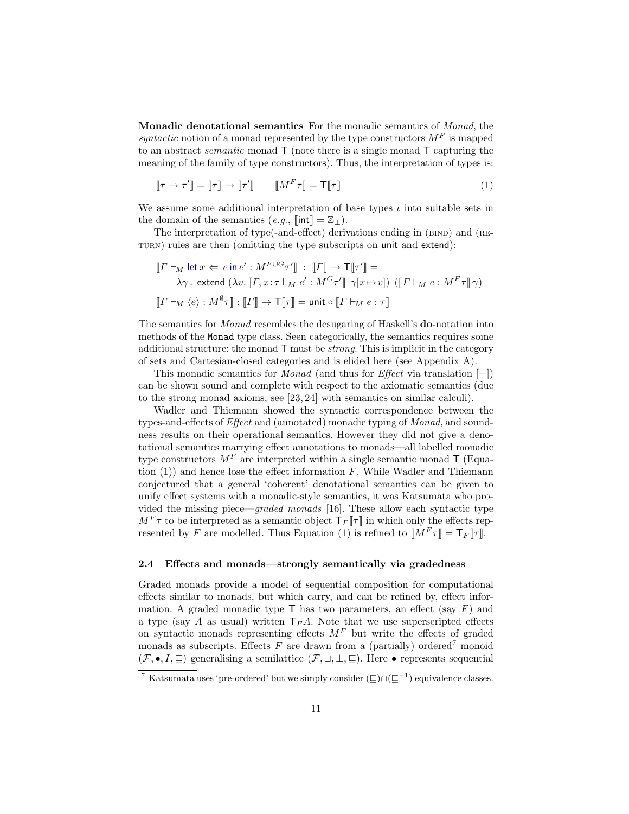Monadic denotational semantics For the monadic semantics of Monad, the syntactic notion of a monad represented by the type constructors  $M<sup>F</sup>$  is mapped to an abstract *semantic* monad  $\mathsf{T}$  (note there is a single monad  $\mathsf{T}$  capturing the meaning of the family of type constructors). Thus, the interpretation of types is:

$$
\llbracket \tau \to \tau' \rrbracket = \llbracket \tau \rrbracket \to \llbracket \tau' \rrbracket \qquad \llbracket M^F \tau \rrbracket = \mathsf{T} \llbracket \tau \rrbracket \tag{1}
$$

We assume some additional interpretation of base types  $\iota$  into suitable sets in the domain of the semantics  $(e.g., \|\text{int}\| = \mathbb{Z}_\perp).$ 

The interpretation of type(-and-effect) derivations ending in (BIND) and (REturn) rules are then (omitting the type subscripts on unit and extend):

$$
\begin{aligned} \llbracket \varGamma \vdash_M \mathsf{let} \, &x \Leftarrow e \mathsf{in} \, e' : M^{F \cup G} \tau' \rrbracket \; : \; \llbracket \varGamma \rrbracket \to \mathsf{T} \llbracket \tau' \rrbracket = \\ &\lambda \gamma \, \text{. extend } (\lambda v. \; \llbracket \varGamma, x \mathsf{:}\tau \vdash_M e' : M^{G} \tau' \rrbracket \, \, \gamma[x \mapsto v]) \; \left(\llbracket \varGamma \vdash_M e : M^{F} \tau \rrbracket \, \gamma\right) \\ \llbracket \varGamma \vdash_M \langle e \rangle : M^{\emptyset} \tau \rrbracket : \llbracket \varGamma \rrbracket \to \mathsf{T} \llbracket \tau \rrbracket = \mathsf{unit} \circ \llbracket \varGamma \vdash_M e : \tau \rrbracket \end{aligned}
$$

The semantics for *Monad* resembles the desugaring of Haskell's **do**-notation into methods of the Monad type class. Seen categorically, the semantics requires some additional structure: the monad T must be strong. This is implicit in the category of sets and Cartesian-closed categories and is elided here (see Appendix A).

This monadic semantics for Monad (and thus for Effect via translation  $[-]$ ) can be shown sound and complete with respect to the axiomatic semantics (due to the strong monad axioms, see [23, 24] with semantics on similar calculi).

Wadler and Thiemann showed the syntactic correspondence between the types-and-effects of Effect and (annotated) monadic typing of Monad, and soundness results on their operational semantics. However they did not give a denotational semantics marrying effect annotations to monads—all labelled monadic type constructors  $M<sup>F</sup>$  are interpreted within a single semantic monad T (Equation  $(1)$  and hence lose the effect information F. While Wadler and Thiemann conjectured that a general 'coherent' denotational semantics can be given to unify effect systems with a monadic-style semantics, it was Katsumata who provided the missing piece—graded monads [16]. These allow each syntactic type  $M<sup>F</sup> \tau$  to be interpreted as a semantic object  $T_F \llbracket \tau \rrbracket$  in which only the effects represented by F are modelled. Thus Equation (1) is refined to  $\llbracket M^F \tau \rrbracket = \mathsf{T}_F \llbracket \tau \rrbracket$ .

#### 2.4 Effects and monads—strongly semantically via gradedness

Graded monads provide a model of sequential composition for computational effects similar to monads, but which carry, and can be refined by, effect information. A graded monadic type  $\mathsf T$  has two parameters, an effect (say  $F$ ) and a type (say A as usual) written  $T_F A$ . Note that we use superscripted effects on syntactic monads representing effects  $M<sup>F</sup>$  but write the effects of graded monads as subscripts. Effects F are drawn from a (partially) ordered<sup>7</sup> monoid  $(\mathcal{F}, \bullet, I, \sqsubset)$  generalising a semilattice  $(\mathcal{F}, \sqcup, \bot, \sqsubseteq)$ . Here  $\bullet$  represents sequential

<sup>&</sup>lt;sup>7</sup> Katsumata uses 'pre-ordered' but we simply consider  $(\sqsubseteq) \cap (\sqsubseteq^{-1})$  equivalence classes.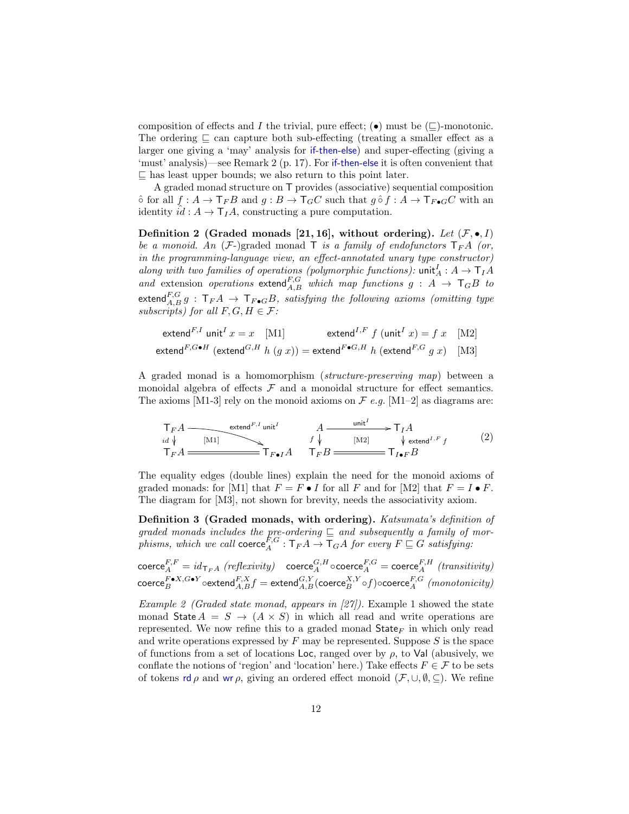composition of effects and I the trivial, pure effect; ( $\bullet$ ) must be ( $\sqsubseteq$ )-monotonic. The ordering  $\subseteq$  can capture both sub-effecting (treating a smaller effect as a larger one giving a 'may' analysis for if-then-else) and super-effecting (giving a 'must' analysis)—see Remark 2 (p. 17). For if-then-else it is often convenient that ⊑ has least upper bounds; we also return to this point later.

A graded monad structure on T provides (associative) sequential composition  $\hat{\sigma}$  for all  $f : A \to \mathsf{T}_F B$  and  $g : B \to \mathsf{T}_G C$  such that  $g \hat{\sigma} f : A \to \mathsf{T}_{F \bullet G} C$  with an identity  $\hat{i}d: A \to \mathsf{T}_I A$ , constructing a pure computation.

Definition 2 (Graded monads [21, 16], without ordering). Let  $(F, \bullet, I)$ be a monoid. An  $(\mathcal{F}-)$ graded monad  $\mathsf T$  is a family of endofunctors  $\mathsf T_F A$  (or, in the programming-language view, an effect-annotated unary type constructor) along with two families of operations (polymorphic functions):  $\text{unit}_A^I : A \to \mathsf{T}_I A$ and extension operations extend ${}_{A,B}^{F,G}$  which map functions  $g : A \rightarrow \mathsf{T}_G B$  to extendF,G A,B g : T<sup>F</sup> A → T<sup>F</sup> •<sup>G</sup>B, satisfying the following axioms (omitting type subscripts) for all  $F, G, H \in \mathcal{F}$ :

$$
\text{extend}^{F,I} \text{ unit}^I x = x \quad [\text{M1}] \qquad \text{extend}^{I,F} f \text{ (unit}^I x) = f x \quad [\text{M2}]
$$
\n
$$
\text{extend}^{F,G \bullet H} \text{ (extend}^{G,H} h \text{ (} g \text{ } x \text{))} = \text{extend}^{F \bullet G,H} h \text{ (extend}^{F,G} g \text{ } x \text{)} \quad [\text{M3}]
$$

A graded monad is a homomorphism (structure-preserving map) between a monoidal algebra of effects  $\mathcal F$  and a monoidal structure for effect semantics. The axioms [M1-3] rely on the monoid axioms on  $\mathcal F$  e.g. [M1-2] as diagrams are:

$$
\mathsf{T}_{F}A \xrightarrow{\text{extend}^{F,I}\text{ unit}^{I}} A \xrightarrow{\text{unit}^{I} \longrightarrow \mathsf{T}_{I}A} \mathsf{d}_{\text{extend}^{I,F}f} \qquad (2)
$$
\n
$$
\mathsf{T}_{F}A \xrightarrow{\text{ind}^{I} \downarrow} \mathsf{T}_{F\bullet I}A \qquad \mathsf{T}_{F}B \xrightarrow{\text{fund}^{I,F}f} \qquad (2)
$$

The equality edges (double lines) explain the need for the monoid axioms of graded monads: for [M1] that  $F = F \bullet I$  for all F and for [M2] that  $F = I \bullet F$ . The diagram for [M3], not shown for brevity, needs the associativity axiom.

Definition 3 (Graded monads, with ordering). Katsumata's definition of graded monads includes the pre-ordering  $\subseteq$  and subsequently a family of morphisms, which we call  $\text{coerce}_A^{F,G} : \mathsf{T}_F A \to \mathsf{T}_G A$  for every  $F \sqsubseteq G$  satisfying:

$$
\begin{array}{ll}\n\text{coerce}_{A}^{F,F} = id_{\mathsf{T}_{FA}} \ (reflexivity) & \text{coerce}_{A}^{G,H} \circ \text{coerce}_{A}^{F,G} = \text{coerce}_{A}^{F,H} \ (transitivity) \\
\text{coerce}_{B}^{F \bullet X, G \bullet Y} \circ \text{extend}_{A,B}^{F,X} f = \text{extend}_{A,B}^{G,Y} (\text{coerce}_{B}^{X,Y} \circ f) \circ \text{coerce}_{A}^{F,G} \ (monotonicity)\n\end{array}
$$

Example 2 (Graded state monad, appears in  $[27]$ ). Example 1 showed the state monad State  $A = S \rightarrow (A \times S)$  in which all read and write operations are represented. We now refine this to a graded monad  $\text{State}_F$  in which only read and write operations expressed by  $F$  may be represented. Suppose  $S$  is the space of functions from a set of locations Loc, ranged over by  $\rho$ , to Val (abusively, we conflate the notions of 'region' and 'location' here.) Take effects  $F \in \mathcal{F}$  to be sets of tokens rd  $\rho$  and wr  $\rho$ , giving an ordered effect monoid  $(\mathcal{F}, \cup, \emptyset, \subseteq)$ . We refine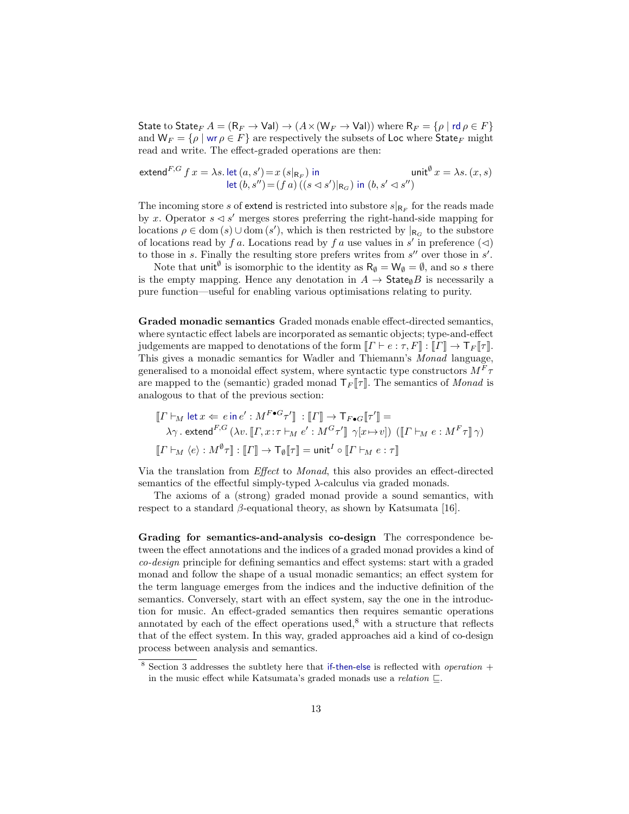State to State<sub>F</sub>  $A = (R_F \rightarrow Val) \rightarrow (A \times (W_F \rightarrow Val))$  where  $R_F = \{\rho \mid rd \rho \in F\}$ and  $W_F = \{\rho \mid \text{wr } \rho \in F\}$  are respectively the subsets of Loc where State<sub>F</sub> might read and write. The effect-graded operations are then:

$$
\text{extend}^{F,G} f x = \lambda s. \text{ let } (a, s') = x (s|_{\mathsf{R}_F}) \text{ in} \qquad \text{unit}^{\emptyset} x = \lambda s. (x, s)
$$
\n
$$
\text{let } (b, s'') = (f \ a) ((s \lhd s')|_{\mathsf{R}_G}) \text{ in } (b, s' \lhd s'')
$$

The incoming store s of extend is restricted into substore  $s|_{R_F}$  for the reads made by x. Operator  $s \triangleleft s'$  merges stores preferring the right-hand-side mapping for locations  $\rho \in \text{dom}(s) \cup \text{dom}(s')$ , which is then restricted by  $|_{R_G}$  to the substore of locations read by f a. Locations read by f a use values in s' in preference  $(\triangleleft)$ to those in s. Finally the resulting store prefers writes from  $s''$  over those in  $s'$ .

Note that unit<sup> $\emptyset$ </sup> is isomorphic to the identity as  $R_{\emptyset} = W_{\emptyset} = \emptyset$ , and so s there is the empty mapping. Hence any denotation in  $A \to \mathsf{State}_{\emptyset}B$  is necessarily a pure function—useful for enabling various optimisations relating to purity.

Graded monadic semantics Graded monads enable effect-directed semantics, where syntactic effect labels are incorporated as semantic objects; type-and-effect judgements are mapped to denotations of the form  $\llbracket \Gamma \vdash e : \tau, F \rrbracket : \llbracket \Gamma \rrbracket \to \mathsf{T}_F \llbracket \tau \rrbracket$ . This gives a monadic semantics for Wadler and Thiemann's Monad language, generalised to a monoidal effect system, where syntactic type constructors  $M<sup>F</sup> \tau$ are mapped to the (semantic) graded monad  $T_F[\![\tau]\!]$ . The semantics of *Monad* is analogous to that of the previous section:

$$
\begin{aligned}\n\llbracket \boldsymbol{\varGamma} \vdash_M \mathsf{let} \, & \boldsymbol{x} \Leftarrow e \mathsf{in} \, e' : \boldsymbol{M}^{F \bullet G} \boldsymbol{\tau}' \rrbracket \; : \llbracket \boldsymbol{\varGamma} \rrbracket \to \mathsf{T}_{F \bullet G} \llbracket \boldsymbol{\tau}' \rrbracket = \\
& \lambda \gamma \, . \; \mathsf{extend}^{F, G} \left( \lambda v \, . \; \llbracket \boldsymbol{\varGamma}, \boldsymbol{x} \colon \boldsymbol{\tau} \vdash_M e' \, : \, \boldsymbol{M}^G \boldsymbol{\tau}' \rrbracket \; \gamma[\boldsymbol{x} \mapsto v] \right) \; (\llbracket \boldsymbol{\varGamma} \vdash_M e \, : \, \boldsymbol{M}^F \boldsymbol{\tau} \rrbracket \, \gamma) \\
\llbracket \boldsymbol{\varGamma} \vdash_M \langle e \rangle \, : \, \boldsymbol{M}^{\emptyset} \boldsymbol{\tau} \rrbracket \, : \llbracket \boldsymbol{\varGamma} \rrbracket \to \mathsf{T}_{\emptyset} \llbracket \boldsymbol{\tau} \rrbracket = \mathsf{unit}^I \circ \llbracket \boldsymbol{\varGamma} \vdash_M e \, : \, \boldsymbol{\tau} \rrbracket\n\end{aligned}
$$

Via the translation from Effect to Monad, this also provides an effect-directed semantics of the effectful simply-typed  $\lambda$ -calculus via graded monads.

The axioms of a (strong) graded monad provide a sound semantics, with respect to a standard  $\beta$ -equational theory, as shown by Katsumata [16].

Grading for semantics-and-analysis co-design The correspondence between the effect annotations and the indices of a graded monad provides a kind of co-design principle for defining semantics and effect systems: start with a graded monad and follow the shape of a usual monadic semantics; an effect system for the term language emerges from the indices and the inductive definition of the semantics. Conversely, start with an effect system, say the one in the introduction for music. An effect-graded semantics then requires semantic operations annotated by each of the effect operations used, $8$  with a structure that reflects that of the effect system. In this way, graded approaches aid a kind of co-design process between analysis and semantics.

 $8$  Section 3 addresses the subtlety here that if-then-else is reflected with *operation* + in the music effect while Katsumata's graded monads use a relation ⊑.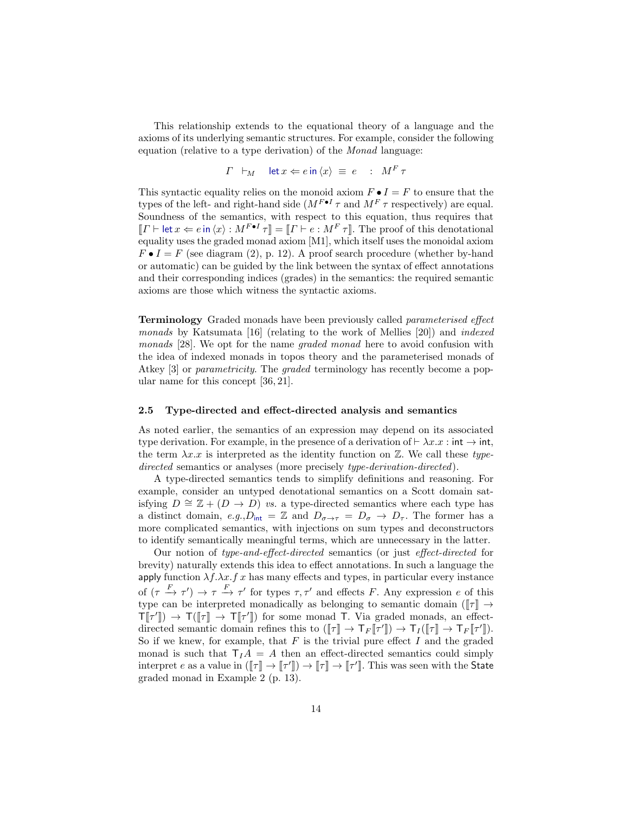This relationship extends to the equational theory of a language and the axioms of its underlying semantic structures. For example, consider the following equation (relative to a type derivation) of the Monad language:

$$
\Gamma \ \vdash_M \quad \det x \Leftarrow e \text{ in } \langle x \rangle \ \equiv \ e \quad : \ \ M^F \ \tau
$$

This syntactic equality relies on the monoid axiom  $F \bullet I = F$  to ensure that the types of the left- and right-hand side  $(M^{F\bullet I} \tau$  and  $M^F \tau$  respectively) are equal. Soundness of the semantics, with respect to this equation, thus requires that  $\llbracket \Gamma \vdash \textsf{let } x \Leftarrow e \textsf{ in } \langle x \rangle : M^{F \bullet I} \tau \rrbracket = \llbracket \Gamma \vdash e : M^F \tau \rrbracket.$  The proof of this denotational equality uses the graded monad axiom [M1], which itself uses the monoidal axiom  $F \bullet I = F$  (see diagram (2), p. 12). A proof search procedure (whether by-hand or automatic) can be guided by the link between the syntax of effect annotations and their corresponding indices (grades) in the semantics: the required semantic axioms are those which witness the syntactic axioms.

**Terminology** Graded monads have been previously called *parameterised effect* monads by Katsumata [16] (relating to the work of Mellies [20]) and *indexed* monads [28]. We opt for the name *graded monad* here to avoid confusion with the idea of indexed monads in topos theory and the parameterised monads of Atkey [3] or parametricity. The graded terminology has recently become a popular name for this concept [36, 21].

#### 2.5 Type-directed and effect-directed analysis and semantics

As noted earlier, the semantics of an expression may depend on its associated type derivation. For example, in the presence of a derivation of  $\vdash \lambda x.x : \text{int} \rightarrow \text{int}$ , the term  $\lambda x.x$  is interpreted as the identity function on Z. We call these typedirected semantics or analyses (more precisely *type-derivation-directed*).

A type-directed semantics tends to simplify definitions and reasoning. For example, consider an untyped denotational semantics on a Scott domain satisfying  $D \cong \mathbb{Z} + (D \to D)$  vs. a type-directed semantics where each type has a distinct domain,  $e.g., D_{int} = \mathbb{Z}$  and  $D_{\sigma \to \tau} = D_{\sigma} \to D_{\tau}$ . The former has a more complicated semantics, with injections on sum types and deconstructors to identify semantically meaningful terms, which are unnecessary in the latter.

Our notion of type-and-effect-directed semantics (or just effect-directed for brevity) naturally extends this idea to effect annotations. In such a language the apply function  $\lambda f \cdot \lambda x \cdot f x$  has many effects and types, in particular every instance of  $(\tau \xrightarrow{F} \tau') \rightarrow \tau \xrightarrow{F} \tau'$  for types  $\tau, \tau'$  and effects F. Any expression e of this type can be interpreted monadically as belonging to semantic domain ( $\llbracket \tau \rrbracket \rightarrow$  $T[\![\tau']\!] \rightarrow T[\![\tau']\!]$  for some monad T. Via graded monads, an effectdirected semantic domain refines this to  $([\![\tau]\!] \to \mathsf{T}_F[\![\tau']\!]) \to \mathsf{T}_I([\![\tau]\!] \to \mathsf{T}_F[\![\tau']\!]).$ So if we knew, for example, that  $F$  is the trivial pure effect  $I$  and the graded monad is such that  $T_I A = A$  then an effect-directed semantics could simply interpret e as a value in  $(\llbracket \tau \rrbracket \to \llbracket \tau' \rrbracket) \to \llbracket \tau \rrbracket \to \llbracket \tau' \rrbracket$ . This was seen with the State graded monad in Example 2 (p. 13).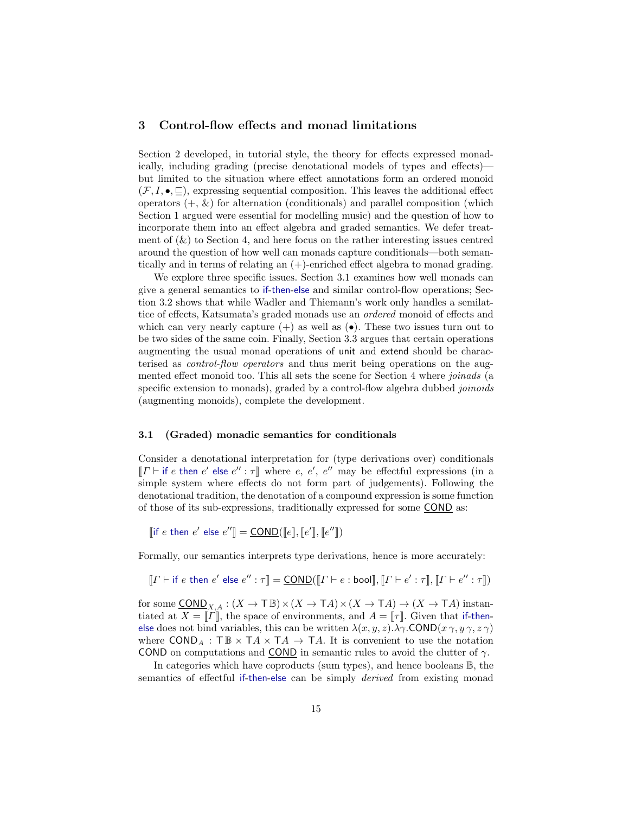#### 3 Control-flow effects and monad limitations

Section 2 developed, in tutorial style, the theory for effects expressed monadically, including grading (precise denotational models of types and effects) but limited to the situation where effect annotations form an ordered monoid  $(\mathcal{F}, I, \bullet, \sqsubseteq)$ , expressing sequential composition. This leaves the additional effect operators  $(+, \&)$  for alternation (conditionals) and parallel composition (which Section 1 argued were essential for modelling music) and the question of how to incorporate them into an effect algebra and graded semantics. We defer treatment of  $(\&)$  to Section 4, and here focus on the rather interesting issues centred around the question of how well can monads capture conditionals—both semantically and in terms of relating an (+)-enriched effect algebra to monad grading.

We explore three specific issues. Section 3.1 examines how well monads can give a general semantics to if-then-else and similar control-flow operations; Section 3.2 shows that while Wadler and Thiemann's work only handles a semilattice of effects, Katsumata's graded monads use an ordered monoid of effects and which can very nearly capture  $(+)$  as well as  $(•)$ . These two issues turn out to be two sides of the same coin. Finally, Section 3.3 argues that certain operations augmenting the usual monad operations of unit and extend should be characterised as control-flow operators and thus merit being operations on the augmented effect monoid too. This all sets the scene for Section 4 where joinads (a specific extension to monads), graded by a control-flow algebra dubbed *joinoids* (augmenting monoids), complete the development.

#### 3.1 (Graded) monadic semantics for conditionals

Consider a denotational interpretation for (type derivations over) conditionals  $\llbracket I \rvert$  if e then e' else  $e'': \tau \rrbracket$  where e, e', e'' may be effectful expressions (in a simple system where effects do not form part of judgements). Following the denotational tradition, the denotation of a compound expression is some function of those of its sub-expressions, traditionally expressed for some COND as:

[if e then e' else  $e''$ ] = COND([e], [e'], [e'])

Formally, our semantics interprets type derivations, hence is more accurately:

$$
\llbracket \varGamma \vdash \text{if } e \text{ then } e' \text{ else } e'' : \tau \rrbracket = \underline{\text{COND}}(\llbracket \varGamma \vdash e : \text{bool} \rrbracket, \llbracket \varGamma \vdash e' : \tau \rrbracket, \llbracket \varGamma \vdash e'' : \tau \rrbracket)
$$

for some  $COND_{X,A}: (X \to \top \mathbb{B}) \times (X \to \top A) \times (X \to \top A) \to (X \to \top A)$  instan-</u> tiated at  $X = \| \Gamma \|$ , the space of environments, and  $A = \| \tau \|$ . Given that if-thenelse does not bind variables, this can be written  $\lambda(x, y, z) \cdot \lambda \gamma$ .COND $(x \gamma, y \gamma, z \gamma)$ where  $\text{COND}_{A}: \text{T} \mathbb{B} \times \text{T} A \times \text{T} A \rightarrow \text{T} A$ . It is convenient to use the notation COND on computations and COND in semantic rules to avoid the clutter of  $\gamma$ .

In categories which have coproducts (sum types), and hence booleans B, the semantics of effectful if-then-else can be simply derived from existing monad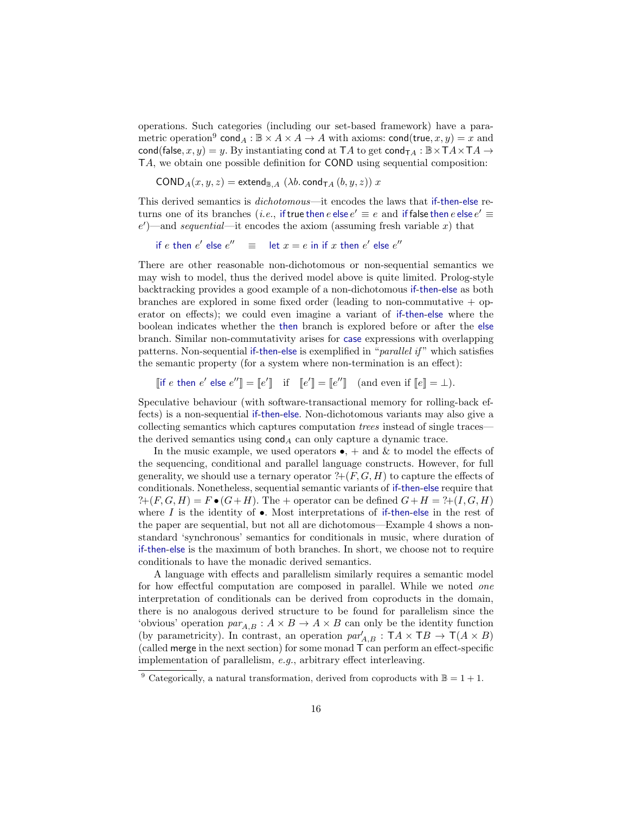operations. Such categories (including our set-based framework) have a parametric operation<sup>9</sup> cond<sub>A</sub>:  $\mathbb{B} \times A \times A \to A$  with axioms: cond(true, x, y) = x and cond(false, x, y) = y. By instantiating cond at TA to get cond<sub>TA</sub> :  $\mathbb{B} \times \mathbb{T} A \times \mathbb{T} A \rightarrow$ TA, we obtain one possible definition for COND using sequential composition:

$$
\mathsf{COND}_{A}(x, y, z) = \mathsf{extend}_{\mathbb{B}, A} \ (\lambda b. \ \mathsf{cond}_{\mathsf{T} A} \ (b, y, z)) \ x
$$

This derived semantics is dichotomous—it encodes the laws that if-then-else returns one of its branches (*i.e.*, if true then  $e$  else  $e' \equiv e \text{ and if false}$  then  $e$  else  $e' \equiv$  $e'$ )—and sequential—it encodes the axiom (assuming fresh variable x) that

if e then 
$$
e'
$$
 else  $e'' \equiv \text{let } x = e \text{ in if } x \text{ then } e' \text{ else } e''$ 

There are other reasonable non-dichotomous or non-sequential semantics we may wish to model, thus the derived model above is quite limited. Prolog-style backtracking provides a good example of a non-dichotomous if-then-else as both branches are explored in some fixed order (leading to non-commutative  $+$  operator on effects); we could even imagine a variant of if-then-else where the boolean indicates whether the then branch is explored before or after the else branch. Similar non-commutativity arises for case expressions with overlapping patterns. Non-sequential if-then-else is exemplified in "*parallel if*" which satisfies the semantic property (for a system where non-termination is an effect):

[if e then e' else  $e''$ ] =  $[e']$  if  $[e'] = [e'']$  (and even if  $[e] = \bot$ ).

Speculative behaviour (with software-transactional memory for rolling-back effects) is a non-sequential if-then-else. Non-dichotomous variants may also give a collecting semantics which captures computation trees instead of single traces the derived semantics using  $\text{cond}_A$  can only capture a dynamic trace.

In the music example, we used operators  $\bullet$ ,  $+$  and  $\&$  to model the effects of the sequencing, conditional and parallel language constructs. However, for full generality, we should use a ternary operator  $?+(F,G,H)$  to capture the effects of conditionals. Nonetheless, sequential semantic variants of if-then-else require that  $P+(F, G, H) = F \bullet (G+H)$ . The + operator can be defined  $G+H = P+(I, G, H)$ where I is the identity of  $\bullet$ . Most interpretations of if-then-else in the rest of the paper are sequential, but not all are dichotomous—Example 4 shows a nonstandard 'synchronous' semantics for conditionals in music, where duration of if-then-else is the maximum of both branches. In short, we choose not to require conditionals to have the monadic derived semantics.

A language with effects and parallelism similarly requires a semantic model for how effectful computation are composed in parallel. While we noted one interpretation of conditionals can be derived from coproducts in the domain, there is no analogous derived structure to be found for parallelism since the 'obvious' operation  $par_{A,B}: A \times B \to A \times B$  can only be the identity function (by parametricity). In contrast, an operation  $par'_{A,B} : TA \times TB \rightarrow T(A \times B)$ (called merge in the next section) for some monad T can perform an effect-specific implementation of parallelism, e.g., arbitrary effect interleaving.

<sup>&</sup>lt;sup>9</sup> Categorically, a natural transformation, derived from coproducts with  $\mathbb{B} = 1 + 1$ .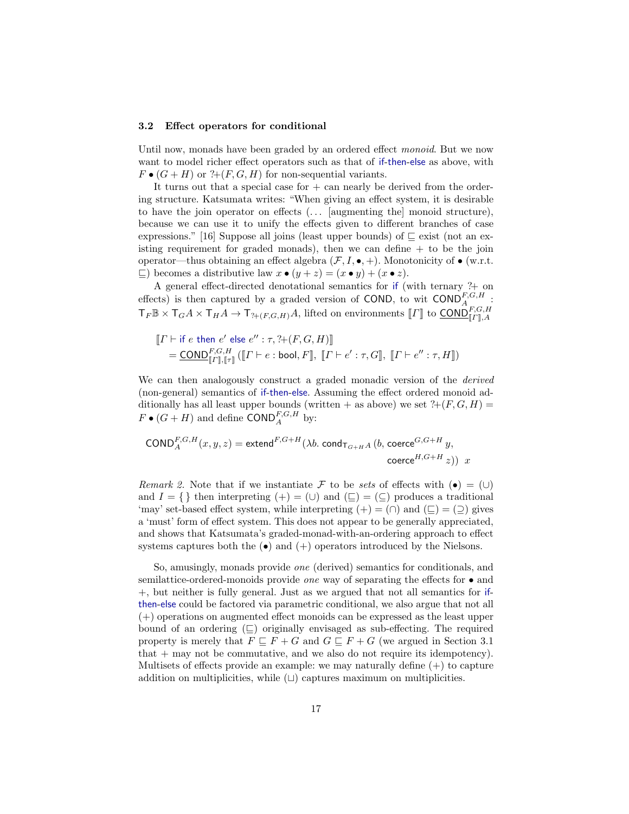#### 3.2 Effect operators for conditional

Until now, monads have been graded by an ordered effect *monoid*. But we now want to model richer effect operators such as that of if-then-else as above, with  $F \bullet (G + H)$  or  $?+(F, G, H)$  for non-sequential variants.

It turns out that a special case for  $+$  can nearly be derived from the ordering structure. Katsumata writes: "When giving an effect system, it is desirable to have the join operator on effects  $(\ldots)$  [augmenting the] monoid structure], because we can use it to unify the effects given to different branches of case expressions." [16] Suppose all joins (least upper bounds) of ⊑ exist (not an existing requirement for graded monads), then we can define  $+$  to be the join operator—thus obtaining an effect algebra  $(\mathcal{F}, I, \bullet, +)$ . Monotonicity of  $\bullet$  (w.r.t.  $\subseteq$ ) becomes a distributive law  $x \bullet (y + z) = (x \bullet y) + (x \bullet z).$ 

A general effect-directed denotational semantics for if (with ternary ?+ on effects) is then captured by a graded version of COND, to wit COND $_{A_{-}}^{F,G,H}$ :  $\mathsf{T}_F \mathbb{B} \times \mathsf{T}_G A \times \mathsf{T}_H A \to \mathsf{T}_{?+(F,G,H)} A$ , lifted on environments  $\llbracket \Gamma \rrbracket$  to  $\underline{\text{COND}}_{\llbracket \Gamma \rrbracket, A}^{F,G,H}$ 

$$
\begin{aligned} \llbracket I \vdash \text{if } e \text{ then } e' \text{ else } e'' : \tau, ?+ (F, G, H) \rrbracket \\ = \underline{\text{COND}}_{\llbracket I' \rrbracket, \llbracket \tau \rrbracket} \left( \llbracket I \vdash e : \text{bool}, F \rrbracket, \, \llbracket I \vdash e' : \tau, G \rrbracket, \, \llbracket I \vdash e'' : \tau, H \rrbracket \right) \end{aligned}
$$

We can then analogously construct a graded monadic version of the *derived* (non-general) semantics of if-then-else. Assuming the effect ordered monoid additionally has all least upper bounds (written + as above) we set  $?+(F, G, H)$  =  $F \bullet (G + H)$  and define COND<sup>F,G,H</sup> by:

$$
\text{COND}_{A}^{F,G,H}(x,y,z) = \text{extend}^{F,G+H}(\lambda b. \text{ cond}_{\mathsf{T}_{G+H}A}(b, \text{coerce}^{G,G+H}y, \\ \text{coerce}^{H,G+H}z)) x
$$

Remark 2. Note that if we instantiate F to be sets of effects with  $(\bullet) = (\cup)$ and  $I = \{\}\$  then interpreting  $(+) = (\cup)$  and  $(\sqsubseteq) = (\subseteq)$  produces a traditional 'may' set-based effect system, while interpreting  $(+) = (\cap)$  and  $(\sqsubseteq) = (\supseteq)$  gives a 'must' form of effect system. This does not appear to be generally appreciated, and shows that Katsumata's graded-monad-with-an-ordering approach to effect systems captures both the  $\left(\bullet\right)$  and  $\left(\dagger\right)$  operators introduced by the Nielsons.

So, amusingly, monads provide one (derived) semantics for conditionals, and semilattice-ordered-monoids provide *one* way of separating the effects for  $\bullet$  and +, but neither is fully general. Just as we argued that not all semantics for ifthen-else could be factored via parametric conditional, we also argue that not all (+) operations on augmented effect monoids can be expressed as the least upper bound of an ordering  $(\sqsubset)$  originally envisaged as sub-effecting. The required property is merely that  $F \subseteq F + G$  and  $G \subseteq F + G$  (we argued in Section 3.1) that + may not be commutative, and we also do not require its idempotency). Multisets of effects provide an example: we may naturally define (+) to capture addition on multiplicities, while (⊔) captures maximum on multiplicities.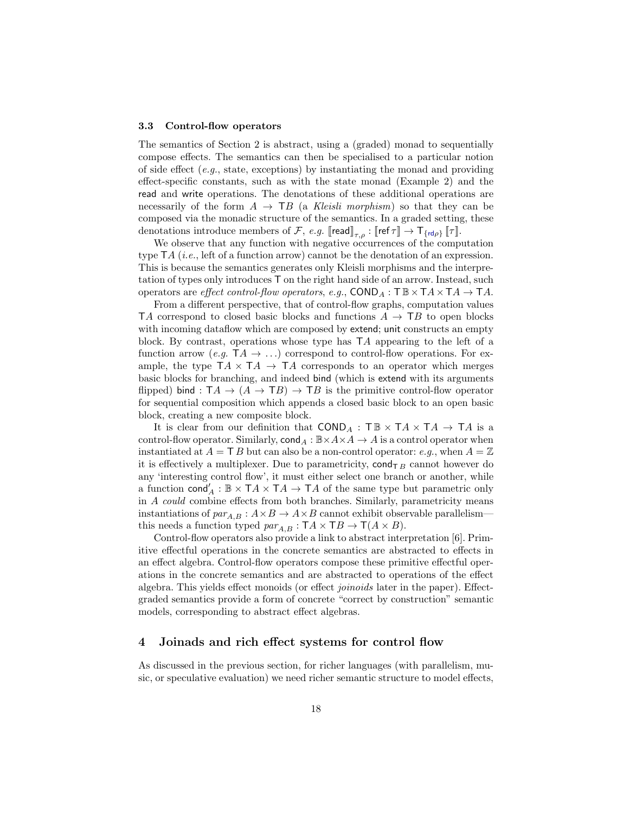#### 3.3 Control-flow operators

The semantics of Section 2 is abstract, using a (graded) monad to sequentially compose effects. The semantics can then be specialised to a particular notion of side effect (e.g., state, exceptions) by instantiating the monad and providing effect-specific constants, such as with the state monad (Example 2) and the read and write operations. The denotations of these additional operations are necessarily of the form  $A \rightarrow \mathsf{T}B$  (a Kleisli morphism) so that they can be composed via the monadic structure of the semantics. In a graded setting, these denotations introduce members of F, e.g.  $\llbracket \text{read} \rrbracket_{\tau,\rho} : \llbracket \text{ref } \tau \rrbracket \to \mathsf{T}_{\{\text{rd}\rho\}} \llbracket \tau \rrbracket.$ 

We observe that any function with negative occurrences of the computation type  $TA$  (*i.e.*, left of a function arrow) cannot be the denotation of an expression. This is because the semantics generates only Kleisli morphisms and the interpretation of types only introduces T on the right hand side of an arrow. Instead, such operators are effect control-flow operators, e.g., COND<sub>A</sub> :  $T \mathbb{B} \times T A \times T A \rightarrow T A$ .

From a different perspective, that of control-flow graphs, computation values TA correspond to closed basic blocks and functions  $A \rightarrow TB$  to open blocks with incoming dataflow which are composed by extend; unit constructs an empty block. By contrast, operations whose type has TA appearing to the left of a function arrow (e.g.  $TA \rightarrow \ldots$ ) correspond to control-flow operations. For example, the type  $TA \times TA \rightarrow TA$  corresponds to an operator which merges basic blocks for branching, and indeed bind (which is extend with its arguments flipped) bind :  $TA \rightarrow (A \rightarrow TB) \rightarrow TB$  is the primitive control-flow operator for sequential composition which appends a closed basic block to an open basic block, creating a new composite block.

It is clear from our definition that  $\text{COND}_A : \text{T} \mathbb{B} \times \text{T} A \times \text{T} A \rightarrow \text{T} A$  is a control-flow operator. Similarly,  $\text{cond}_A : \mathbb{B} \times A \times A \to A$  is a control operator when instantiated at  $A = T B$  but can also be a non-control operator: e.g., when  $A = \mathbb{Z}$ it is effectively a multiplexer. Due to parametricity,  $\text{cond}_{\text{T} B}$  cannot however do any 'interesting control flow', it must either select one branch or another, while a function  $\text{cond}'_A : \mathbb{B} \times \mathsf{T}A \times \mathsf{T}A \to \mathsf{T}A$  of the same type but parametric only in A could combine effects from both branches. Similarly, parametricity means instantiations of  $par_{A,B}: A \times B \to A \times B$  cannot exhibit observable parallelism this needs a function typed  $par_{A,B} : TA \times TB \rightarrow T(A \times B)$ .

Control-flow operators also provide a link to abstract interpretation [6]. Primitive effectful operations in the concrete semantics are abstracted to effects in an effect algebra. Control-flow operators compose these primitive effectful operations in the concrete semantics and are abstracted to operations of the effect algebra. This yields effect monoids (or effect joinoids later in the paper). Effectgraded semantics provide a form of concrete "correct by construction" semantic models, corresponding to abstract effect algebras.

#### 4 Joinads and rich effect systems for control flow

As discussed in the previous section, for richer languages (with parallelism, music, or speculative evaluation) we need richer semantic structure to model effects,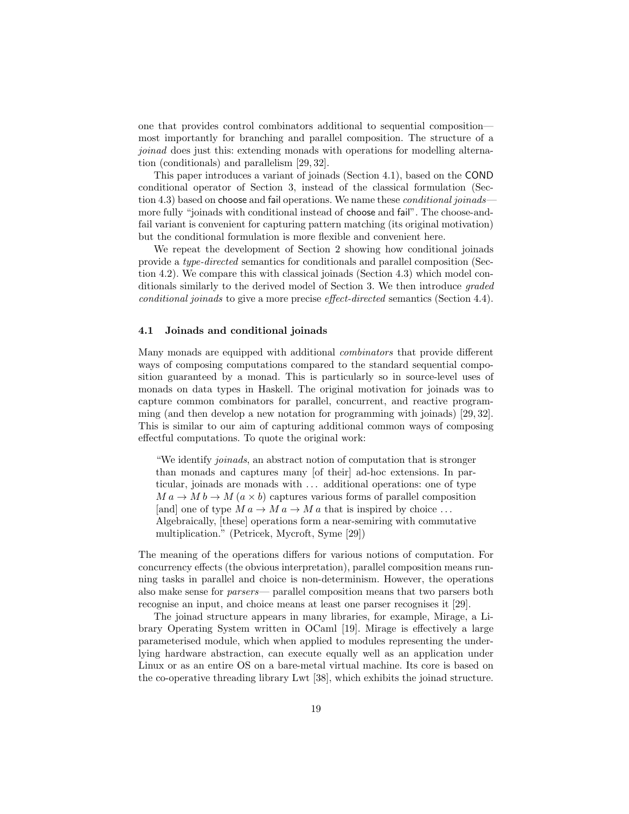one that provides control combinators additional to sequential composition most importantly for branching and parallel composition. The structure of a joinad does just this: extending monads with operations for modelling alternation (conditionals) and parallelism [29, 32].

This paper introduces a variant of joinads (Section 4.1), based on the COND conditional operator of Section 3, instead of the classical formulation (Section 4.3) based on choose and fail operations. We name these *conditional joinads* more fully "joinads with conditional instead of choose and fail". The choose-andfail variant is convenient for capturing pattern matching (its original motivation) but the conditional formulation is more flexible and convenient here.

We repeat the development of Section 2 showing how conditional joinads provide a type-directed semantics for conditionals and parallel composition (Section 4.2). We compare this with classical joinads (Section 4.3) which model conditionals similarly to the derived model of Section 3. We then introduce graded conditional joinads to give a more precise effect-directed semantics (Section 4.4).

#### 4.1 Joinads and conditional joinads

Many monads are equipped with additional combinators that provide different ways of composing computations compared to the standard sequential composition guaranteed by a monad. This is particularly so in source-level uses of monads on data types in Haskell. The original motivation for joinads was to capture common combinators for parallel, concurrent, and reactive programming (and then develop a new notation for programming with joinads) [29, 32]. This is similar to our aim of capturing additional common ways of composing effectful computations. To quote the original work:

"We identify joinads, an abstract notion of computation that is stronger than monads and captures many [of their] ad-hoc extensions. In particular, joinads are monads with . . . additional operations: one of type  $M a \to M b \to M (a \times b)$  captures various forms of parallel composition [and] one of type  $M a \to M a \to M a$  that is inspired by choice ... Algebraically, [these] operations form a near-semiring with commutative multiplication." (Petricek, Mycroft, Syme [29])

The meaning of the operations differs for various notions of computation. For concurrency effects (the obvious interpretation), parallel composition means running tasks in parallel and choice is non-determinism. However, the operations also make sense for parsers— parallel composition means that two parsers both recognise an input, and choice means at least one parser recognises it [29].

The joinad structure appears in many libraries, for example, Mirage, a Library Operating System written in OCaml [19]. Mirage is effectively a large parameterised module, which when applied to modules representing the underlying hardware abstraction, can execute equally well as an application under Linux or as an entire OS on a bare-metal virtual machine. Its core is based on the co-operative threading library Lwt [38], which exhibits the joinad structure.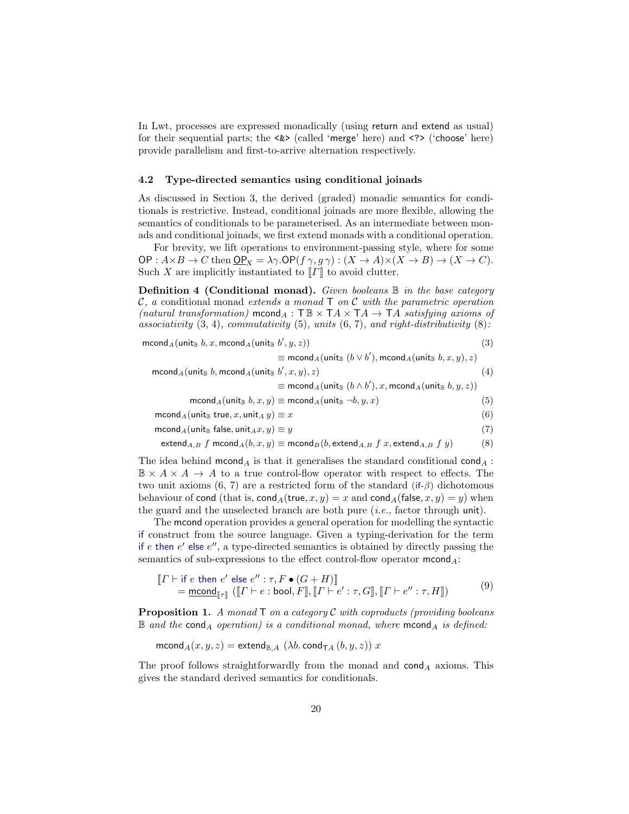In Lwt, processes are expressed monadically (using return and extend as usual) for their sequential parts; the  $\langle x \rangle$  (called 'merge' here) and  $\langle z \rangle$  ('choose' here) provide parallelism and first-to-arrive alternation respectively.

#### 4.2 Type-directed semantics using conditional joinads

As discussed in Section 3, the derived (graded) monadic semantics for conditionals is restrictive. Instead, conditional joinads are more flexible, allowing the semantics of conditionals to be parameterised. As an intermediate between monads and conditional joinads, we first extend monads with a conditional operation.

For brevity, we lift operations to environment-passing style, where for some  $\mathsf{OP}: A \times B \to C \text{ then } \underline{\mathsf{OP}}_X = \lambda \gamma . \mathsf{OP}(f \gamma, g \gamma) : (X \to A) \times (X \to B) \to (X \to C).$ Such X are implicitly instantiated to  $\llbracket \Gamma \rrbracket$  to avoid clutter.

Definition 4 (Conditional monad). Given booleans B in the base category  $\mathcal{C}$ , a conditional monad extends a monad  $\mathsf{T}$  on  $\mathcal{C}$  with the parametric operation (natural transformation)  $m$ cond $_A : T \mathbb{B} \times T A \times T A \rightarrow T A$  satisfying axioms of associativity  $(3, 4)$ , commutativity  $(5)$ , units  $(6, 7)$ , and right-distributivity  $(8)$ :

$$
\mathsf{mcond}_A(\mathsf{unit}_\mathbb{B} b, x, \mathsf{mcond}_A(\mathsf{unit}_\mathbb{B} b', y, z)) \tag{3}
$$

 $\equiv \mathsf{mcond}_A(\mathsf{unit}_\mathbb{B} (b \vee b'), \mathsf{mcond}_A(\mathsf{unit}_\mathbb{B} b, x, y), z)$  $\mathsf{mcond}_A(\mathsf{unit}_\mathbb{B} b, \mathsf{mcond}_A(\mathsf{unit}_\mathbb{B} b', x, y), z)$ (4)

$$
\equiv \mathsf{mcond}_A(\mathsf{unit}_\mathbb{B}\ (b\land b'), x, \mathsf{mcond}_A(\mathsf{unit}_\mathbb{B}\ b, y, z))
$$

$$
\mathsf{mcond}_A(\mathsf{unit}_\mathbb{B} b, x, y) \equiv \mathsf{mcond}_A(\mathsf{unit}_\mathbb{B} \neg b, y, x) \tag{5}
$$

$$
\mathsf{mcond}_A(\mathsf{unit}_\mathbb{B}\ \mathsf{true}, x, \mathsf{unit}_A\ y) \equiv x \tag{6}
$$

$$
\mathsf{mcond}_A(\mathsf{unit}_\mathbb{B}\mathsf{false},\mathsf{unit}_A x,y)\equiv y\tag{7}
$$

 ${\rm extend}_{A,B} f {\rm \,mcond}_A(b,x,y) \equiv {\rm \,mcond}_B(b,{\rm extend}_{A,B} f x,{\rm extend}_{A,B} f y)$  (8)

The idea behind mcond<sub>A</sub> is that it generalises the standard conditional cond<sub>A</sub>:  $\mathbb{B} \times A \times A \rightarrow A$  to a true control-flow operator with respect to effects. The two unit axioms  $(6, 7)$  are a restricted form of the standard  $(i f - \beta)$  dichotomous behaviour of cond (that is,  $\text{cond}_A(\text{true}, x, y) = x$  and  $\text{cond}_A(\text{false}, x, y) = y$ ) when the guard and the unselected branch are both pure  $(i.e.,$  factor through unit).

The mcond operation provides a general operation for modelling the syntactic if construct from the source language. Given a typing-derivation for the term if  $e$  then  $e'$  else  $e''$ , a type-directed semantics is obtained by directly passing the semantics of sub-expressions to the effect control-flow operator  $\mathsf{mcond}_A$ :

$$
\begin{aligned} \llbracket \Gamma \vdash \text{if } e \text{ then } e' \text{ else } e'' : \tau, F \bullet (G + H) \rrbracket \\ &= \underline{\text{mcond}}_{\llbracket \tau \rrbracket} \left( \llbracket \Gamma \vdash e : \text{bool}, F \rrbracket, \llbracket \Gamma \vdash e' : \tau, G \rrbracket, \llbracket \Gamma \vdash e'' : \tau, H \rrbracket \right) \end{aligned} \tag{9}
$$

**Proposition 1.** A monad  $\mathsf{T}$  on a category C with coproducts (providing booleans  $\mathbb B$  and the cond<sub>A</sub> operation) is a conditional monad, where mcond<sub>A</sub> is defined:

$$
\text{mcond}_A(x, y, z) = \text{extend}_{\mathbb{B}, A} \ (\lambda b. \text{cond}_{\text{T}A} \ (b, y, z)) \ x
$$

The proof follows straightforwardly from the monad and  $\text{cond}_A$  axioms. This gives the standard derived semantics for conditionals.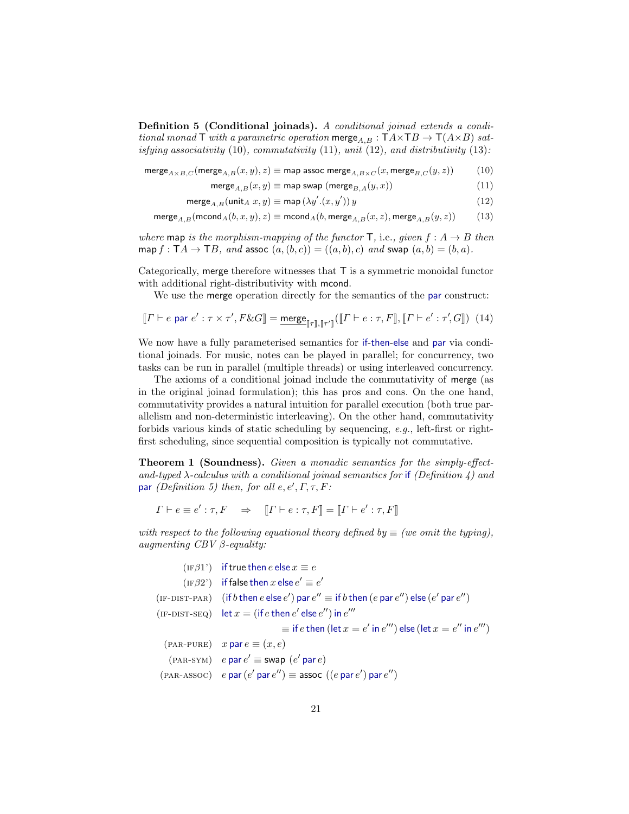Definition 5 (Conditional joinads). A conditional joinad extends a conditional monad T with a parametric operation merge<sub>A,B</sub> :  $T A \times T B \rightarrow T(A \times B)$  satisfying associativity  $(10)$ , commutativity  $(11)$ , unit  $(12)$ , and distributivity  $(13)$ :

 $\text{merge}_{A \times B,C}(\text{merge}_{A,B}(x,y), z) \equiv \text{map assoc merge}_{A,B \times C}(x, \text{merge}_{B,C}(y,z))$  (10)

 $\mathsf{merge}_{A,B}(x, y) \equiv \mathsf{map\; swap}\;(\mathsf{merge}_{B,A}(y, x))$ (11)

$$
merge_{A,B}(\text{unit}_{A} x, y) \equiv \text{map}(\lambda y'.(x, y')) y \tag{12}
$$

 $\text{merge}_{A,B}(\text{mcond}_A(b, x, y), z) \equiv \text{mcond}_A(b, \text{merge}_{A,B}(x, z), \text{merge}_{A,B}(y, z))$  (13)

where map is the morphism-mapping of the functor  $\mathsf{T}$ , i.e., given  $f : A \rightarrow B$  then map  $f : TA \rightarrow TB$ , and assoc  $(a, (b, c)) = ((a, b), c)$  and swap  $(a, b) = (b, a)$ .

Categorically, merge therefore witnesses that T is a symmetric monoidal functor with additional right-distributivity with mcond.

We use the merge operation directly for the semantics of the par construct:

$$
\llbracket \Gamma \vdash e \text{ par } e' : \tau \times \tau', F \& G \rrbracket = \underline{\text{merge}}_{\llbracket \tau \rrbracket, \llbracket \tau' \rrbracket} (\llbracket \Gamma \vdash e : \tau, F \rrbracket, \llbracket \Gamma \vdash e' : \tau', G \rrbracket) \tag{14}
$$

We now have a fully parameterised semantics for if-then-else and par via conditional joinads. For music, notes can be played in parallel; for concurrency, two tasks can be run in parallel (multiple threads) or using interleaved concurrency.

The axioms of a conditional joinad include the commutativity of merge (as in the original joinad formulation); this has pros and cons. On the one hand, commutativity provides a natural intuition for parallel execution (both true parallelism and non-deterministic interleaving). On the other hand, commutativity forbids various kinds of static scheduling by sequencing, e.g., left-first or rightfirst scheduling, since sequential composition is typically not commutative.

Theorem 1 (Soundness). Given a monadic semantics for the simply-effectand-typed  $\lambda$ -calculus with a conditional joinad semantics for if (Definition 4) and par (Definition 5) then, for all  $e, e', \Gamma, \tau, F$ :

$$
\Gamma \vdash e \equiv e' : \tau, F \quad \Rightarrow \quad [\![\Gamma \vdash e : \tau, F]\!] = [\![\Gamma \vdash e' : \tau, F]\!]
$$

with respect to the following equational theory defined by  $\equiv$  (we omit the typing), augmenting  $CBV \beta$ -equality:

(IFβ1') if 
$$
\text{true}
$$
 then  $e \text{ else } x \equiv e$ 

\n(IF-DIST-PAR) (if  $\text{false}$  then  $x \text{ else } e' \equiv e'$ 

\n(IF-DIST-PAR) (if  $b$  then  $e \text{ else } e'$ ) par  $e'' \equiv \text{if } b$  then (e par  $e''$ ) else (e' par  $e''$ )

\n(IF-DIST-SEQ) let  $x = (\text{if } e \text{ then } e' \text{ else } e'')$  in  $e'''$ 

\n $= \text{if } e \text{ then } (\text{let } x = e' \text{ in } e''')$  else (let  $x = e'' \text{ in } e'''$ )

\n(PAR-PURE)  $x$  par  $e \equiv (x, e)$ 

\n(PAR-SYM)  $e$  par  $e' \equiv \text{swap}(e' \text{ par } e)$ 

\n(PAR-SSOC)  $e$  par  $(e' \text{ par } e'') \equiv \text{assoc}((e \text{ par } e') \text{ par } e'')$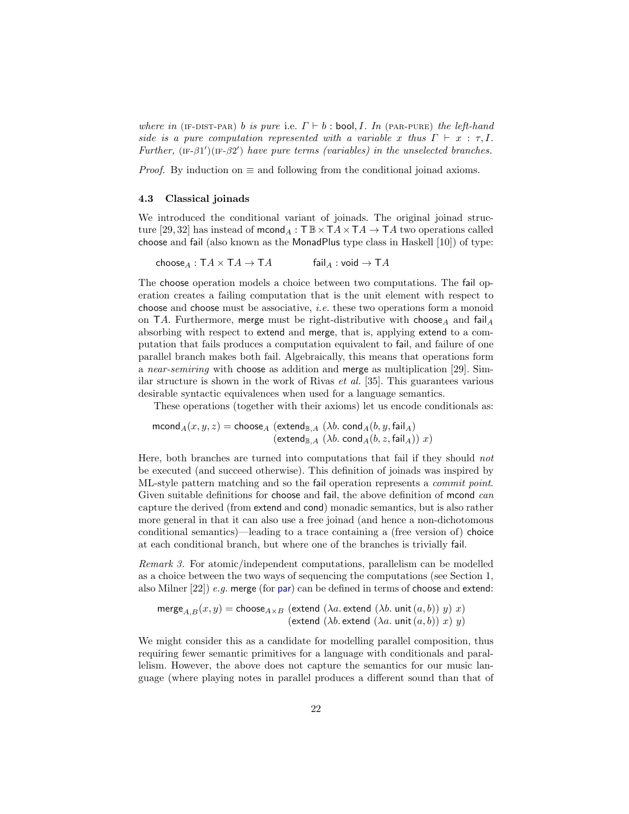where in (IF-DIST-PAR) b is pure i.e.  $\Gamma \vdash b$  : bool, I. In (PAR-PURE) the left-hand side is a pure computation represented with a variable x thus  $\Gamma \vdash x : \tau, I$ . Further,  $(\text{IF-}\beta1')(\text{IF-}\beta2')$  have pure terms (variables) in the unselected branches.

*Proof.* By induction on  $\equiv$  and following from the conditional joinad axioms.

#### 4.3 Classical joinads

We introduced the conditional variant of joinads. The original joinad structure [29, 32] has instead of  $\mathsf{mcond}_A : \mathsf{T}\mathbb{B} \times \mathsf{T} A \times \mathsf{T} A \to \mathsf{T} A$  two operations called choose and fail (also known as the MonadPlus type class in Haskell [10]) of type:

choose  $_A : TA \times TA \rightarrow TA$  fail  $_A : void \rightarrow TA$ 

The choose operation models a choice between two computations. The fail operation creates a failing computation that is the unit element with respect to choose and choose must be associative, i.e. these two operations form a monoid on TA. Furthermore, merge must be right-distributive with choose<sub>A</sub> and fail<sub>A</sub> absorbing with respect to extend and merge, that is, applying extend to a computation that fails produces a computation equivalent to fail, and failure of one parallel branch makes both fail. Algebraically, this means that operations form a near-semiring with choose as addition and merge as multiplication [29]. Similar structure is shown in the work of Rivas  $et \, al.$  [35]. This guarantees various desirable syntactic equivalences when used for a language semantics.

These operations (together with their axioms) let us encode conditionals as:

 $\mathsf{mcond}_A(x, y, z) = \mathsf{choose}_A$  (extend<sub>B,A</sub> ( $\lambda b$ . cond $_A(b, y, \mathsf{fail}_A)$  $(\mathsf{extend}_{\mathbb{B},A}~(\lambda b.\; \mathsf{cond}_A(b,z,\mathsf{fail}_A))$   $x)$ 

Here, both branches are turned into computations that fail if they should not be executed (and succeed otherwise). This definition of joinads was inspired by ML-style pattern matching and so the fail operation represents a commit point. Given suitable definitions for choose and fail, the above definition of mcond can capture the derived (from extend and cond) monadic semantics, but is also rather more general in that it can also use a free joinad (and hence a non-dichotomous conditional semantics)—leading to a trace containing a (free version of) choice at each conditional branch, but where one of the branches is trivially fail.

Remark 3. For atomic/independent computations, parallelism can be modelled as a choice between the two ways of sequencing the computations (see Section 1, also Milner [22]) e.g. merge (for par) can be defined in terms of choose and extend:

```
merge_{A,B}(x, y) =choose_{A \times B} (extend (\lambda a. extend (\lambda b. unit(a, b)) y) x)(extend (\lambda b. extend (\lambda a. unit (a, b)) x) y)
```
We might consider this as a candidate for modelling parallel composition, thus requiring fewer semantic primitives for a language with conditionals and parallelism. However, the above does not capture the semantics for our music language (where playing notes in parallel produces a different sound than that of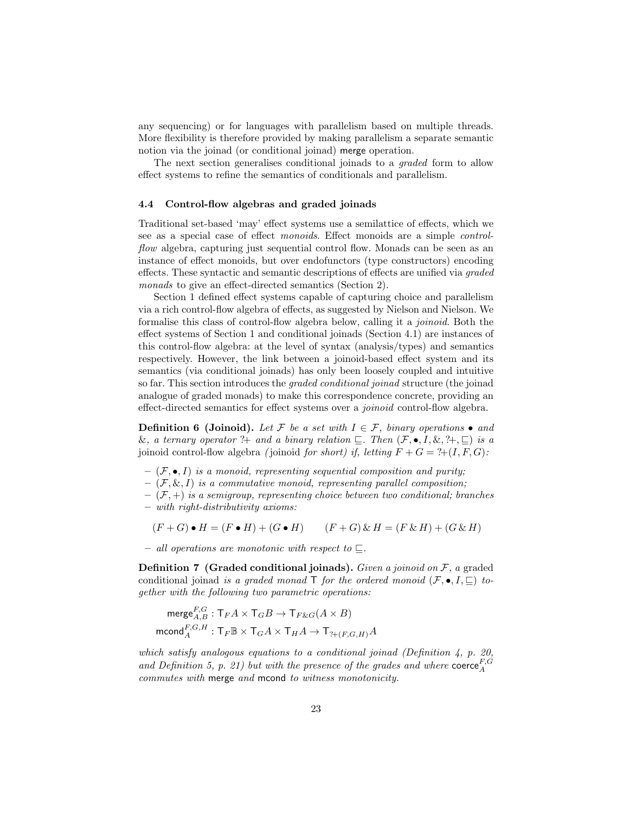any sequencing) or for languages with parallelism based on multiple threads. More flexibility is therefore provided by making parallelism a separate semantic notion via the joinad (or conditional joinad) merge operation.

The next section generalises conditional joinads to a *graded* form to allow effect systems to refine the semantics of conditionals and parallelism.

#### 4.4 Control-flow algebras and graded joinads

Traditional set-based 'may' effect systems use a semilattice of effects, which we see as a special case of effect monoids. Effect monoids are a simple controlflow algebra, capturing just sequential control flow. Monads can be seen as an instance of effect monoids, but over endofunctors (type constructors) encoding effects. These syntactic and semantic descriptions of effects are unified via graded monads to give an effect-directed semantics (Section 2).

Section 1 defined effect systems capable of capturing choice and parallelism via a rich control-flow algebra of effects, as suggested by Nielson and Nielson. We formalise this class of control-flow algebra below, calling it a joinoid. Both the effect systems of Section 1 and conditional joinads (Section 4.1) are instances of this control-flow algebra: at the level of syntax (analysis/types) and semantics respectively. However, the link between a joinoid-based effect system and its semantics (via conditional joinads) has only been loosely coupled and intuitive so far. This section introduces the graded conditional joinad structure (the joinad analogue of graded monads) to make this correspondence concrete, providing an effect-directed semantics for effect systems over a joinoid control-flow algebra.

**Definition 6 (Joinoid).** Let F be a set with  $I \in \mathcal{F}$ , binary operations • and &, a ternary operator ?+ and a binary relation  $\subseteq$ . Then  $(F, \bullet, I, \&, ?+, \subseteq)$  is a joinoid control-flow algebra (joinoid for short) if, letting  $F + G = ?+(I, F, G)$ :

- $(\mathcal{F}, \bullet, I)$  is a monoid, representing sequential composition and purity;
- $(\mathcal{F}, \& I)$  is a commutative monoid, representing parallel composition;
- $(\mathcal{F}, +)$  is a semigroup, representing choice between two conditional; branches – with right-distributivity axioms:

$$
(F+G) \bullet H = (F \bullet H) + (G \bullet H) \qquad (F+G) \& H = (F \& H) + (G \& H)
$$

 $-$  all operations are monotonic with respect to  $⊏$ .

**Definition 7** (Graded conditional joinads). Given a joinoid on  $\mathcal{F}$ , a graded conditional joinad is a graded monad  $\mathsf T$  for the ordered monoid  $(\mathcal F,\bullet,I,\sqsubseteq)$  together with the following two parametric operations:

$$
\begin{aligned}\n&\text{merge}_{A,B}^{F,G}: \mathsf{T}_F A \times \mathsf{T}_G B \to \mathsf{T}_{F\&G}(A \times B) \\
&\text{mcond}_A^{F,G,H}: \mathsf{T}_F \mathbb{B} \times \mathsf{T}_G A \times \mathsf{T}_H A \to \mathsf{T}_{?+ (F,G,H)} A\n\end{aligned}
$$

which satisfy analogous equations to a conditional joinad (Definition 4, p. 20, and Definition 5, p. 21) but with the presence of the grades and where  $\operatorname{coerc}_A^{F,G}$ commutes with merge and mcond to witness monotonicity.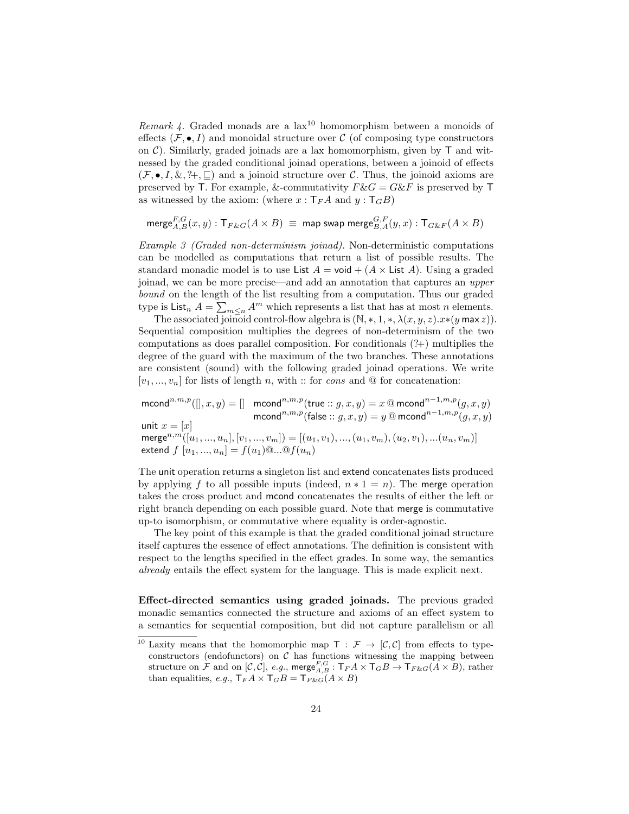Remark 4. Graded monads are a  $lax^{10}$  homomorphism between a monoids of effects  $(\mathcal{F}, \bullet, I)$  and monoidal structure over C (of composing type constructors on  $\mathcal{C}$ ). Similarly, graded joinads are a lax homomorphism, given by  $\mathsf{T}$  and witnessed by the graded conditional joinad operations, between a joinoid of effects  $(\mathcal{F}, \bullet, I, \& ,\mathcal{F}, \sqsubseteq)$  and a joinoid structure over C. Thus, the joinoid axioms are preserved by T. For example, &-commutativity  $F\&G = G\&F$  is preserved by T as witnessed by the axiom: (where  $x : T_F A$  and  $y : T_G B$ )

 $\mathsf{merge}^{F,G}_{A,B}(x,y):\mathsf{T}_{F\&G}(A\times B)\ \equiv\ \mathsf{map\ swap\ merge}^{G,F}_{B,A}(y,x):\mathsf{T}_{G\&F}(A\times B)$ 

Example 3 (Graded non-determinism joinad). Non-deterministic computations can be modelled as computations that return a list of possible results. The standard monadic model is to use List  $A = \text{void} + (A \times \text{List } A)$ . Using a graded joinad, we can be more precise—and add an annotation that captures an upper bound on the length of the list resulting from a computation. Thus our graded type is List<sub>n</sub>  $A = \sum_{m \leq n} A^m$  which represents a list that has at most n elements.

The associated joinoid control-flow algebra is  $(\mathbb{N}, *, 1, *, \lambda(x, y, z).x*(y \max z)).$ Sequential composition multiplies the degrees of non-determinism of the two computations as does parallel composition. For conditionals (?+) multiplies the degree of the guard with the maximum of the two branches. These annotations are consistent (sound) with the following graded joinad operations. We write  $[v_1, ..., v_n]$  for lists of length n, with :: for cons and  $\mathcal Q$  for concatenation:

mcond ${}^{n,m,p}([],x,y) = []$  mcond ${}^{n,m,p}$ (true  $:: g, x, y) = x$  @ mcond ${}^{n-1,m,p}(g,x,y)$ mcond $^{n,m,p}$ (false  $:: g, x, y) = y @$  mcond $^{n-1,m,p}(g, x, y)$ unit  $x = [x]$ merge<sup>n,m</sup> $([u_1, ..., u_n], [v_1, ..., v_m]) = [(u_1, v_1), ..., (u_1, v_m), (u_2, v_1), ... (u_n, v_m)]$ extend  $f [u_1, ..., u_n] = f(u_1) @... @ f(u_n)$ 

The unit operation returns a singleton list and extend concatenates lists produced by applying f to all possible inputs (indeed,  $n * 1 = n$ ). The merge operation takes the cross product and mcond concatenates the results of either the left or right branch depending on each possible guard. Note that merge is commutative up-to isomorphism, or commutative where equality is order-agnostic.

The key point of this example is that the graded conditional joinad structure itself captures the essence of effect annotations. The definition is consistent with respect to the lengths specified in the effect grades. In some way, the semantics already entails the effect system for the language. This is made explicit next.

Effect-directed semantics using graded joinads. The previous graded monadic semantics connected the structure and axioms of an effect system to a semantics for sequential composition, but did not capture parallelism or all

<sup>&</sup>lt;sup>10</sup> Laxity means that the homomorphic map  $\mathsf{T} : \mathcal{F} \to [\mathcal{C}, \mathcal{C}]$  from effects to typeconstructors (endofunctors) on  $C$  has functions witnessing the mapping between structure on  $\mathcal F$  and on  $[\mathcal C,\mathcal C],$   $e.g.,$  merge $_{A,B}^{F,G}:\mathsf T_F A \times \mathsf T_G B \to \mathsf T_{F\&G}(A\times B),$  rather than equalities, e.g.,  $T_F A \times T_G B = T_{F \& G} (A \times B)$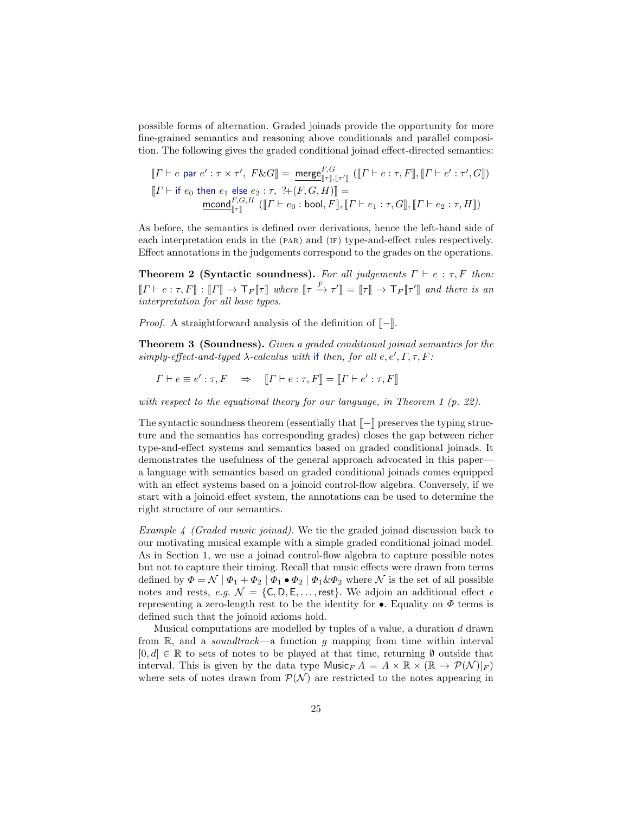possible forms of alternation. Graded joinads provide the opportunity for more fine-grained semantics and reasoning above conditionals and parallel composition. The following gives the graded conditional joinad effect-directed semantics:

$$
\begin{aligned}\n[T \vdash e \text{ par } e' : \tau \times \tau', \ F \& G \rbrack = \text{merge}_{\llbracket \tau \rrbracket, \llbracket \tau' \rrbracket}^{F, G} \left( \llbracket \varGamma \vdash e : \tau, F \rrbracket, \llbracket \varGamma \vdash e' : \tau', G \rrbracket \right) \\
[\![\varGamma \vdash \text{if } e_0 \text{ then } e_1 \text{ else } e_2 : \tau, \ ? + (F, G, H) \rrbracket = \\
\underbrace{\text{mcond}}_{\llbracket \tau \rrbracket}^{F, G, H} \left( \llbracket \varGamma \vdash e_0 : \text{bool}, F \rrbracket, \llbracket \varGamma \vdash e_1 : \tau, G \rrbracket, \llbracket \varGamma \vdash e_2 : \tau, H \rrbracket \right)\n\end{aligned}
$$

As before, the semantics is defined over derivations, hence the left-hand side of each interpretation ends in the (par) and (if) type-and-effect rules respectively. Effect annotations in the judgements correspond to the grades on the operations.

**Theorem 2 (Syntactic soundness).** For all judgements  $\Gamma \vdash e : \tau, F$  then:  $\llbracket \Gamma \vdash e : \tau, F \rrbracket : \llbracket \Gamma \rrbracket \to \mathsf{T}_F \llbracket \tau \rrbracket$  where  $\llbracket \tau \xrightarrow{F} \tau' \rrbracket = \llbracket \tau \rrbracket \to \mathsf{T}_F \llbracket \tau' \rrbracket$  and there is an interpretation for all base types.

*Proof.* A straightforward analysis of the definition of  $\llbracket - \rrbracket$ .

Theorem 3 (Soundness). Given a graded conditional joinad semantics for the simply-effect-and-typed  $\lambda$ -calculus with if then, for all  $e, e', \Gamma, \tau, F$ :

 $\Gamma \vdash e \equiv e' : \tau, F \Rightarrow \quad [\![ \Gamma \vdash e : \tau, F ]\!] = [\![ \Gamma \vdash e' : \tau, F ]\!]$ 

with respect to the equational theory for our language, in Theorem 1 (p. 22).

The syntactic soundness theorem (essentially that  $\llbracket - \rrbracket$  preserves the typing structure and the semantics has corresponding grades) closes the gap between richer type-and-effect systems and semantics based on graded conditional joinads. It demonstrates the usefulness of the general approach advocated in this paper a language with semantics based on graded conditional joinads comes equipped with an effect systems based on a joinoid control-flow algebra. Conversely, if we start with a joinoid effect system, the annotations can be used to determine the right structure of our semantics.

Example 4 (Graded music joinad). We tie the graded joinad discussion back to our motivating musical example with a simple graded conditional joinad model. As in Section 1, we use a joinad control-flow algebra to capture possible notes but not to capture their timing. Recall that music effects were drawn from terms defined by  $\Phi = \mathcal{N} | \Phi_1 + \Phi_2 | \Phi_1 \bullet \Phi_2 | \Phi_1 \& \Phi_2$  where  $\mathcal{N}$  is the set of all possible notes and rests, e.g.  $\mathcal{N} = \{C, D, E, \ldots, \text{rest}\}\.$  We adjoin an additional effect  $\epsilon$ representing a zero-length rest to be the identity for  $\bullet$ . Equality on  $\Phi$  terms is defined such that the joinoid axioms hold.

Musical computations are modelled by tuples of a value, a duration d drawn from  $\mathbb{R}$ , and a *soundtrack*—a function g mapping from time within interval  $[0, d] \in \mathbb{R}$  to sets of notes to be played at that time, returning  $\emptyset$  outside that interval. This is given by the data type Music<sub>F</sub>  $A = A \times \mathbb{R} \times (\mathbb{R} \to \mathcal{P}(\mathcal{N})|_F)$ where sets of notes drawn from  $\mathcal{P}(\mathcal{N})$  are restricted to the notes appearing in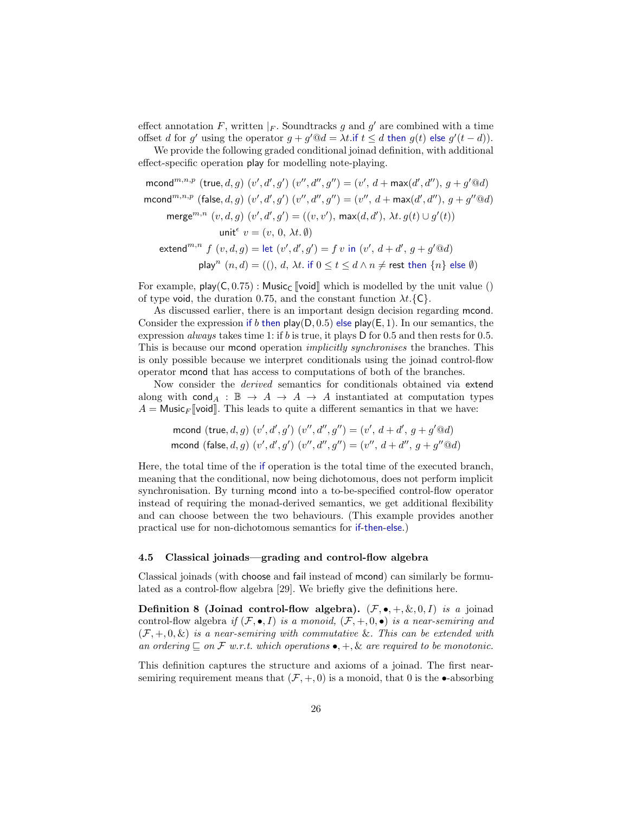effect annotation F, written |F. Soundtracks g and  $g'$  are combined with a time offset d for g' using the operator  $g + g' \mathbb{Q}d = \lambda t$ .if  $t \leq d$  then  $g(t)$  else  $g'(t - d)$ .

We provide the following graded conditional joinad definition, with additional effect-specific operation play for modelling note-playing.

mcond<sup>m,n,p</sup> (true, d, g)  $(v', d', g')$   $(v'', d'', g'') = (v', d + max(d', d''), g + g' \textcircled{d})$ mcond ${}^{m,n,p}$  (false,  $d, g$ )  $(v', d', g')$   $(v'', d'', g'') = (v'', d + \max(d', d''), g + g'' \mathbb{Q}d)$ merge<sup> $m,n$ </sup>  $(v, d, g)$   $(v', d', g') = ((v, v'), max(d, d'), \lambda t. g(t) \cup g'(t))$ unit<sup> $\epsilon$ </sup>  $v = (v, 0, \lambda t. \emptyset)$ extend<sup>m,n</sup>  $f (v, d, g) = \text{let} (v', d', g') = f v \text{ in} (v', d + d', g + g' \textcircled{d})$ play<sup>n</sup>  $(n, d) = ((), d, \lambda t$ . if  $0 \le t \le d \wedge n \ne \text{rest}$  then  $\{n\}$  else  $\emptyset)$ 

For example,  $play(C, 0.75)$ : Music<sub>C</sub>  $[void]$  which is modelled by the unit value () of type void, the duration 0.75, and the constant function  $\lambda t$ . {C}.

As discussed earlier, there is an important design decision regarding mcond. Consider the expression if b then  $play(D, 0.5)$  else  $play(E, 1)$ . In our semantics, the expression *always* takes time 1: if b is true, it plays D for 0.5 and then rests for 0.5. This is because our mcond operation *implicitly synchronises* the branches. This is only possible because we interpret conditionals using the joinad control-flow operator mcond that has access to computations of both of the branches.

Now consider the derived semantics for conditionals obtained via extend along with  $\text{cond}_A : \mathbb{B} \to A \to A \to A$  instantiated at computation types  $A = \text{Music}_{F}$  void. This leads to quite a different semantics in that we have:

mcond (true, d, g) 
$$
(v', d', g')
$$
  $(v'', d'', g'') = (v', d + d', g + g' \mathbb{Q}d)$   
mcond (false, d, g)  $(v', d', g')$   $(v'', d'', g'') = (v'', d + d'', g + g'' \mathbb{Q}d)$ 

Here, the total time of the if operation is the total time of the executed branch, meaning that the conditional, now being dichotomous, does not perform implicit synchronisation. By turning mcond into a to-be-specified control-flow operator instead of requiring the monad-derived semantics, we get additional flexibility and can choose between the two behaviours. (This example provides another practical use for non-dichotomous semantics for if-then-else.)

#### 4.5 Classical joinads—grading and control-flow algebra

Classical joinads (with choose and fail instead of mcond) can similarly be formulated as a control-flow algebra [29]. We briefly give the definitions here.

**Definition 8 (Joinad control-flow algebra).**  $(\mathcal{F}, \bullet, +, \& 0, I)$  is a joinad control-flow algebra if  $(\mathcal{F}, \bullet, I)$  is a monoid,  $(\mathcal{F}, +, 0, \bullet)$  is a near-semiring and  $(\mathcal{F}, +, 0, \&)$  is a near-semiring with commutative  $\&$ . This can be extended with an ordering  $\Box$  on  $\mathcal F$  w.r.t. which operations  $\bullet, +, \&$  are required to be monotonic.

This definition captures the structure and axioms of a joinad. The first nearsemiring requirement means that  $(\mathcal{F}, +, 0)$  is a monoid, that 0 is the  $\bullet$ -absorbing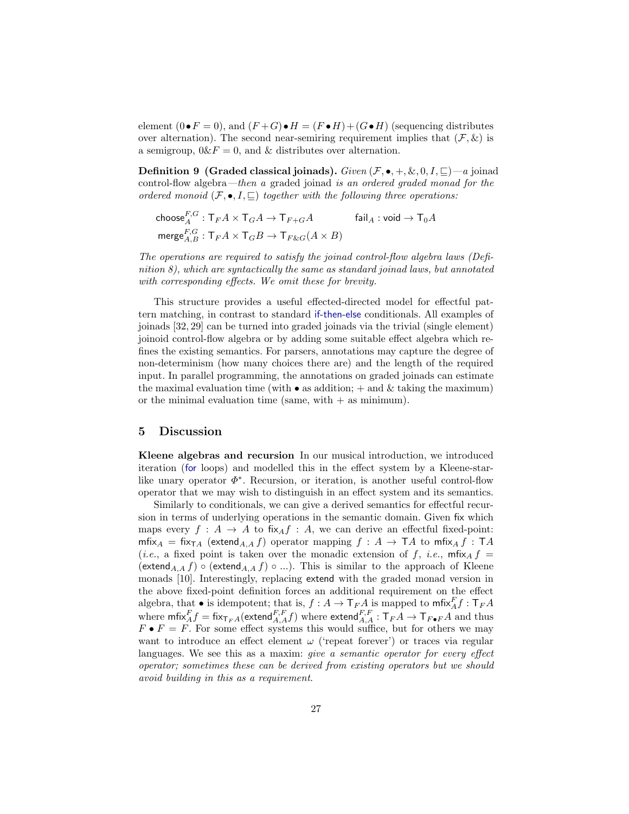element  $(0 \bullet F = 0)$ , and  $(F+G) \bullet H = (F \bullet H) + (G \bullet H)$  (sequencing distributes over alternation). The second near-semiring requirement implies that  $(\mathcal{F}, \&)$  is a semigroup,  $0 \& F = 0$ , and  $\&$  distributes over alternation.

**Definition 9 (Graded classical joinads).** Given  $(\mathcal{F}, \bullet, +, \& 0, I, \Box) - a$  joinad control-flow algebra—then a graded joinad is an ordered graded monad for the ordered monoid  $(F, \bullet, I, \sqsubset)$  together with the following three operations:

 $\mathsf{choose}^{F,G}_A : \mathsf{T}_F A \times \mathsf{T}_G A \to \mathsf{T}_{F+G} A \hspace{1cm} \mathsf{fail}_A : \mathsf{void} \to \mathsf{T}_0 A$  $\mathsf{merge}^{F,G}_{A,B} : \mathsf{T}_F A \times \mathsf{T}_G B \to \mathsf{T}_{F\&G}(A \times B)$ 

The operations are required to satisfy the joinad control-flow algebra laws (Definition 8), which are syntactically the same as standard joinad laws, but annotated with corresponding effects. We omit these for brevity.

This structure provides a useful effected-directed model for effectful pattern matching, in contrast to standard if-then-else conditionals. All examples of joinads [32, 29] can be turned into graded joinads via the trivial (single element) joinoid control-flow algebra or by adding some suitable effect algebra which refines the existing semantics. For parsers, annotations may capture the degree of non-determinism (how many choices there are) and the length of the required input. In parallel programming, the annotations on graded joinads can estimate the maximal evaluation time (with  $\bullet$  as addition;  $+$  and  $\&$  taking the maximum) or the minimal evaluation time (same, with  $+$  as minimum).

#### 5 Discussion

Kleene algebras and recursion In our musical introduction, we introduced iteration (for loops) and modelled this in the effect system by a Kleene-starlike unary operator  $\Phi^*$ . Recursion, or iteration, is another useful control-flow operator that we may wish to distinguish in an effect system and its semantics.

Similarly to conditionals, we can give a derived semantics for effectful recursion in terms of underlying operations in the semantic domain. Given fix which maps every  $f : A \to A$  to fix<sub>A</sub> $f : A$ , we can derive an effectful fixed-point:  $m$ fix $_A$  = fix $_{TA}$  (extend $_{A,A}$  f) operator mapping  $f : A \rightarrow TA$  to mfix $_A f : TA$ (*i.e.*, a fixed point is taken over the monadic extension of f, *i.e.*,  $\text{mfix}_A f =$ (extend<sub>A,A</sub> f) ∘ (extend<sub>A,A</sub> f) ∘ ...). This is similar to the approach of Kleene monads [10]. Interestingly, replacing extend with the graded monad version in the above fixed-point definition forces an additional requirement on the effect algebra, that • is idempotent; that is,  $f: A \to \mathsf{T}_F A$  is mapped to  $\mathsf{mfix}^F_\mathit{A} f: \mathsf{T}_F A$ where  $\textsf{mfix}^F_A f = \textsf{fix}_{\mathsf{T}_F A}(\textsf{extend}^{F,F}_{A,A} f)$  where  $\textsf{extend}^{F,F}_{A,A} : \mathsf{T}_F A \to \mathsf{T}_{F\bullet F} A$  and thus  $F \bullet F = F$ . For some effect systems this would suffice, but for others we may want to introduce an effect element  $\omega$  ('repeat forever') or traces via regular languages. We see this as a maxim: *give a semantic operator for every effect* operator; sometimes these can be derived from existing operators but we should avoid building in this as a requirement.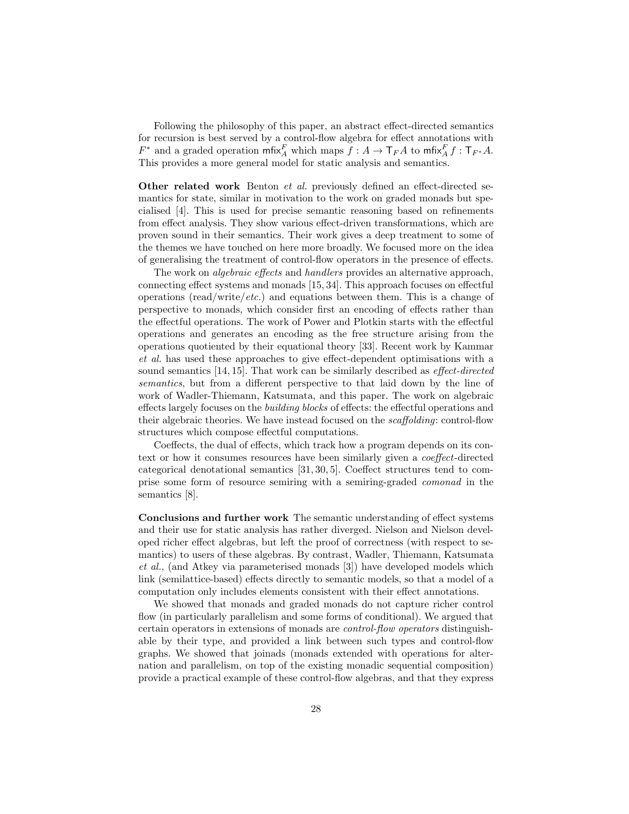Following the philosophy of this paper, an abstract effect-directed semantics for recursion is best served by a control-flow algebra for effect annotations with  $F^*$  and a graded operation  $\text{mfix}_{A}^F$  which maps  $f: A \to \mathsf{T}_F A$  to  $\text{mfix}_{A}^F f: \mathsf{T}_{F^*} A$ . This provides a more general model for static analysis and semantics.

Other related work Benton et al. previously defined an effect-directed semantics for state, similar in motivation to the work on graded monads but specialised [4]. This is used for precise semantic reasoning based on refinements from effect analysis. They show various effect-driven transformations, which are proven sound in their semantics. Their work gives a deep treatment to some of the themes we have touched on here more broadly. We focused more on the idea of generalising the treatment of control-flow operators in the presence of effects.

The work on algebraic effects and handlers provides an alternative approach, connecting effect systems and monads [15, 34]. This approach focuses on effectful operations (read/write/etc.) and equations between them. This is a change of perspective to monads, which consider first an encoding of effects rather than the effectful operations. The work of Power and Plotkin starts with the effectful operations and generates an encoding as the free structure arising from the operations quotiented by their equational theory [33]. Recent work by Kammar et al. has used these approaches to give effect-dependent optimisations with a sound semantics [14, 15]. That work can be similarly described as effect-directed semantics, but from a different perspective to that laid down by the line of work of Wadler-Thiemann, Katsumata, and this paper. The work on algebraic effects largely focuses on the building blocks of effects: the effectful operations and their algebraic theories. We have instead focused on the scaffolding: control-flow structures which compose effectful computations.

Coeffects, the dual of effects, which track how a program depends on its context or how it consumes resources have been similarly given a coeffect-directed categorical denotational semantics [31, 30, 5]. Coeffect structures tend to comprise some form of resource semiring with a semiring-graded comonad in the semantics [8].

Conclusions and further work The semantic understanding of effect systems and their use for static analysis has rather diverged. Nielson and Nielson developed richer effect algebras, but left the proof of correctness (with respect to semantics) to users of these algebras. By contrast, Wadler, Thiemann, Katsumata et al., (and Atkey via parameterised monads [3]) have developed models which link (semilattice-based) effects directly to semantic models, so that a model of a computation only includes elements consistent with their effect annotations.

We showed that monads and graded monads do not capture richer control flow (in particularly parallelism and some forms of conditional). We argued that certain operators in extensions of monads are control-flow operators distinguishable by their type, and provided a link between such types and control-flow graphs. We showed that joinads (monads extended with operations for alternation and parallelism, on top of the existing monadic sequential composition) provide a practical example of these control-flow algebras, and that they express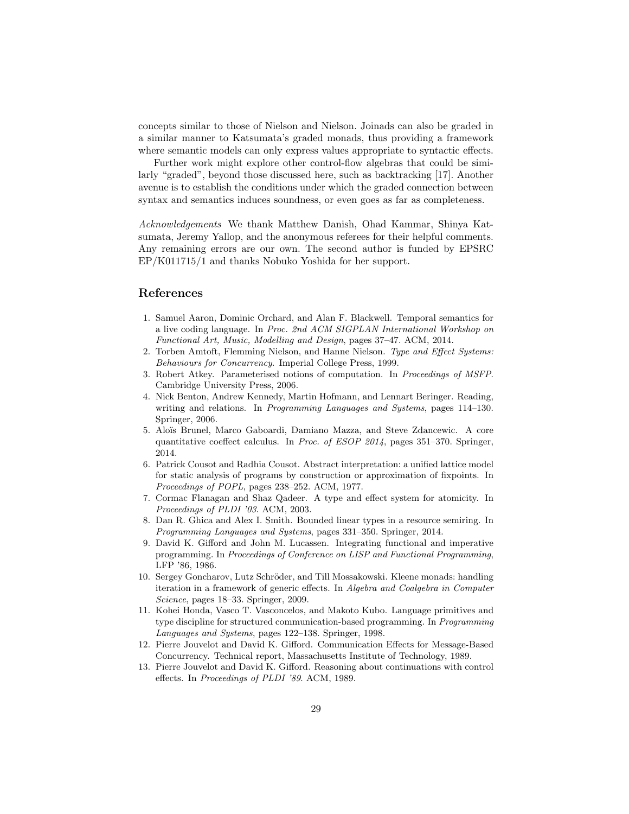concepts similar to those of Nielson and Nielson. Joinads can also be graded in a similar manner to Katsumata's graded monads, thus providing a framework where semantic models can only express values appropriate to syntactic effects.

Further work might explore other control-flow algebras that could be similarly "graded", beyond those discussed here, such as backtracking [17]. Another avenue is to establish the conditions under which the graded connection between syntax and semantics induces soundness, or even goes as far as completeness.

Acknowledgements We thank Matthew Danish, Ohad Kammar, Shinya Katsumata, Jeremy Yallop, and the anonymous referees for their helpful comments. Any remaining errors are our own. The second author is funded by EPSRC EP/K011715/1 and thanks Nobuko Yoshida for her support.

#### References

- 1. Samuel Aaron, Dominic Orchard, and Alan F. Blackwell. Temporal semantics for a live coding language. In Proc. 2nd ACM SIGPLAN International Workshop on Functional Art, Music, Modelling and Design, pages 37–47. ACM, 2014.
- 2. Torben Amtoft, Flemming Nielson, and Hanne Nielson. Type and Effect Systems: Behaviours for Concurrency. Imperial College Press, 1999.
- 3. Robert Atkey. Parameterised notions of computation. In Proceedings of MSFP. Cambridge University Press, 2006.
- 4. Nick Benton, Andrew Kennedy, Martin Hofmann, and Lennart Beringer. Reading, writing and relations. In Programming Languages and Systems, pages 114–130. Springer, 2006.
- 5. Alo¨ıs Brunel, Marco Gaboardi, Damiano Mazza, and Steve Zdancewic. A core quantitative coeffect calculus. In Proc. of ESOP 2014, pages 351–370. Springer, 2014.
- 6. Patrick Cousot and Radhia Cousot. Abstract interpretation: a unified lattice model for static analysis of programs by construction or approximation of fixpoints. In Proceedings of POPL, pages 238–252. ACM, 1977.
- 7. Cormac Flanagan and Shaz Qadeer. A type and effect system for atomicity. In Proceedings of PLDI '03. ACM, 2003.
- 8. Dan R. Ghica and Alex I. Smith. Bounded linear types in a resource semiring. In Programming Languages and Systems, pages 331–350. Springer, 2014.
- 9. David K. Gifford and John M. Lucassen. Integrating functional and imperative programming. In Proceedings of Conference on LISP and Functional Programming, LFP '86, 1986.
- 10. Sergey Goncharov, Lutz Schröder, and Till Mossakowski. Kleene monads: handling iteration in a framework of generic effects. In Algebra and Coalgebra in Computer Science, pages 18–33. Springer, 2009.
- 11. Kohei Honda, Vasco T. Vasconcelos, and Makoto Kubo. Language primitives and type discipline for structured communication-based programming. In Programming Languages and Systems, pages 122–138. Springer, 1998.
- 12. Pierre Jouvelot and David K. Gifford. Communication Effects for Message-Based Concurrency. Technical report, Massachusetts Institute of Technology, 1989.
- 13. Pierre Jouvelot and David K. Gifford. Reasoning about continuations with control effects. In Proceedings of PLDI '89. ACM, 1989.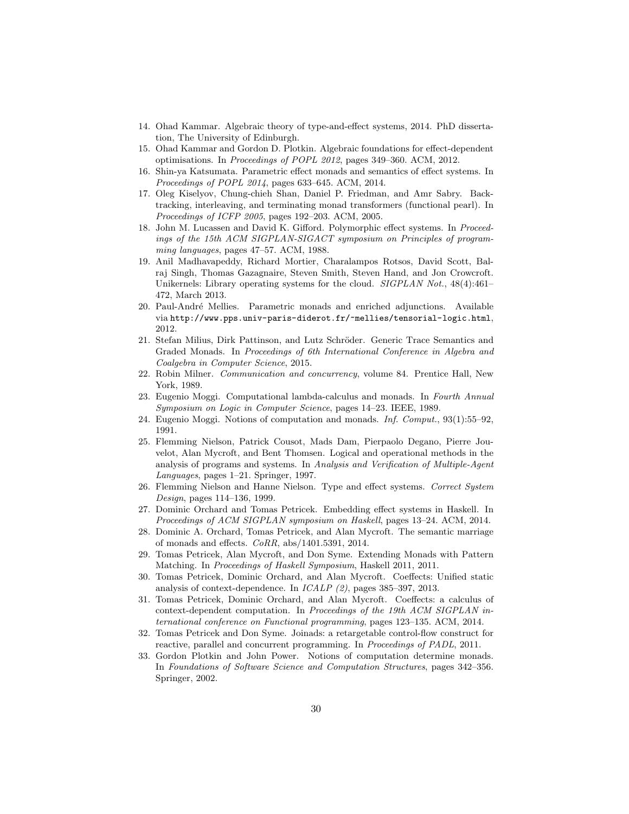- 14. Ohad Kammar. Algebraic theory of type-and-effect systems, 2014. PhD dissertation, The University of Edinburgh.
- 15. Ohad Kammar and Gordon D. Plotkin. Algebraic foundations for effect-dependent optimisations. In Proceedings of POPL 2012, pages 349–360. ACM, 2012.
- 16. Shin-ya Katsumata. Parametric effect monads and semantics of effect systems. In Proceedings of POPL 2014, pages 633–645. ACM, 2014.
- 17. Oleg Kiselyov, Chung-chieh Shan, Daniel P. Friedman, and Amr Sabry. Backtracking, interleaving, and terminating monad transformers (functional pearl). In Proceedings of ICFP 2005, pages 192–203. ACM, 2005.
- 18. John M. Lucassen and David K. Gifford. Polymorphic effect systems. In Proceedings of the 15th ACM SIGPLAN-SIGACT symposium on Principles of programming languages, pages 47–57. ACM, 1988.
- 19. Anil Madhavapeddy, Richard Mortier, Charalampos Rotsos, David Scott, Balraj Singh, Thomas Gazagnaire, Steven Smith, Steven Hand, and Jon Crowcroft. Unikernels: Library operating systems for the cloud. *SIGPLAN Not.*, 48(4):461– 472, March 2013.
- 20. Paul-André Mellies. Parametric monads and enriched adjunctions. Available via http://www.pps.univ-paris-diderot.fr/~mellies/tensorial-logic.html, 2012.
- 21. Stefan Milius, Dirk Pattinson, and Lutz Schröder. Generic Trace Semantics and Graded Monads. In Proceedings of 6th International Conference in Algebra and Coalgebra in Computer Science, 2015.
- 22. Robin Milner. Communication and concurrency, volume 84. Prentice Hall, New York, 1989.
- 23. Eugenio Moggi. Computational lambda-calculus and monads. In Fourth Annual Symposium on Logic in Computer Science, pages 14–23. IEEE, 1989.
- 24. Eugenio Moggi. Notions of computation and monads. Inf. Comput., 93(1):55–92, 1991.
- 25. Flemming Nielson, Patrick Cousot, Mads Dam, Pierpaolo Degano, Pierre Jouvelot, Alan Mycroft, and Bent Thomsen. Logical and operational methods in the analysis of programs and systems. In Analysis and Verification of Multiple-Agent Languages, pages 1–21. Springer, 1997.
- 26. Flemming Nielson and Hanne Nielson. Type and effect systems. Correct System Design, pages 114–136, 1999.
- 27. Dominic Orchard and Tomas Petricek. Embedding effect systems in Haskell. In Proceedings of ACM SIGPLAN symposium on Haskell, pages 13–24. ACM, 2014.
- 28. Dominic A. Orchard, Tomas Petricek, and Alan Mycroft. The semantic marriage of monads and effects. CoRR, abs/1401.5391, 2014.
- 29. Tomas Petricek, Alan Mycroft, and Don Syme. Extending Monads with Pattern Matching. In Proceedings of Haskell Symposium, Haskell 2011, 2011.
- 30. Tomas Petricek, Dominic Orchard, and Alan Mycroft. Coeffects: Unified static analysis of context-dependence. In ICALP (2), pages 385–397, 2013.
- 31. Tomas Petricek, Dominic Orchard, and Alan Mycroft. Coeffects: a calculus of context-dependent computation. In Proceedings of the 19th ACM SIGPLAN international conference on Functional programming, pages 123–135. ACM, 2014.
- 32. Tomas Petricek and Don Syme. Joinads: a retargetable control-flow construct for reactive, parallel and concurrent programming. In Proceedings of PADL, 2011.
- 33. Gordon Plotkin and John Power. Notions of computation determine monads. In Foundations of Software Science and Computation Structures, pages 342–356. Springer, 2002.